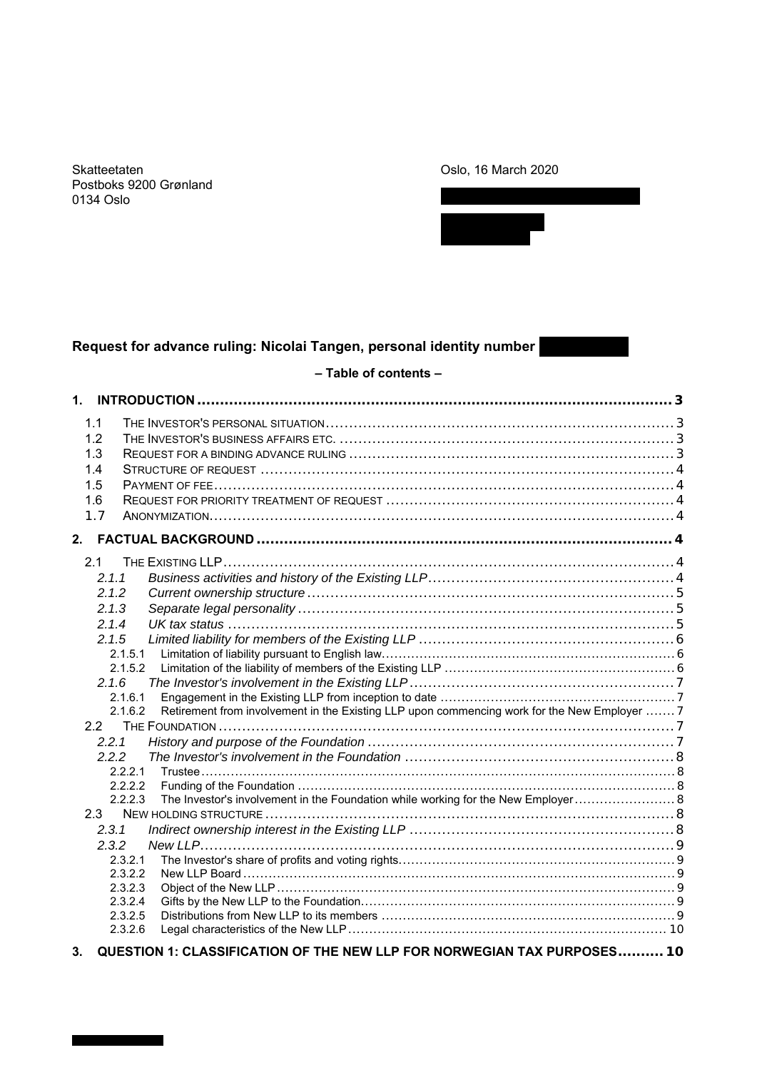Skatteetaten Postboks 9200 Grønland 0134 Oslo

# Oslo, 16 March 2020



# **Request for advance ruling: Nicolai Tangen, personal identity number**

# **– Table of contents –**

| 1. INTRODUCTION                                                                                                    |  |
|--------------------------------------------------------------------------------------------------------------------|--|
| 1.1<br>1.2<br>1.3<br>1.4<br>1.5<br>1.6<br>1.7                                                                      |  |
| 2.                                                                                                                 |  |
| 2.1<br>2.1.1<br>2.1.2<br>2.1.3<br>2.1.4                                                                            |  |
| 2.1.5<br>2.1.5.1<br>2.1.5.2<br>2.1.6                                                                               |  |
| 2.1.6.1<br>Retirement from involvement in the Existing LLP upon commencing work for the New Employer  7<br>2.1.6.2 |  |
| 2.2.1                                                                                                              |  |
| 2.2.2<br>2.2.2.1<br>2.2.2.2                                                                                        |  |
| 2.2.2.3<br>The Investor's involvement in the Foundation while working for the New Employer 8<br>2.3<br>2.3.1       |  |
| 2.3.2<br>2.3.2.1                                                                                                   |  |
| 2.3.2.2<br>2.3.2.3<br>2.3.2.4<br>2.3.2.5                                                                           |  |
| 2.3.2.6                                                                                                            |  |

**3. QUESTION 1: CLASSIFICATION OF THE NEW LLP FOR NORWEGIAN TAX PURPOSES.......... 10**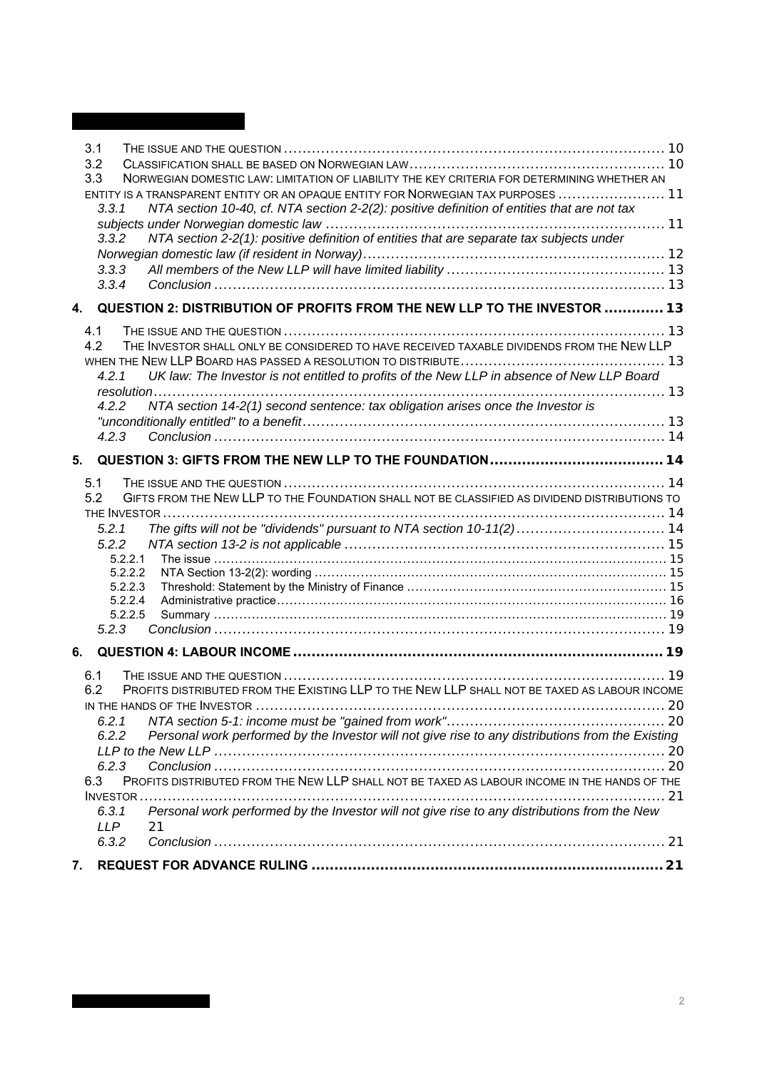|    | 3.1<br>3.2<br>3.3<br>3.3.1<br>3.3.2<br>3.3.3<br>3.3.4                                        | NORWEGIAN DOMESTIC LAW: LIMITATION OF LIABILITY THE KEY CRITERIA FOR DETERMINING WHETHER AN<br>ENTITY IS A TRANSPARENT ENTITY OR AN OPAQUE ENTITY FOR NORWEGIAN TAX PURPOSES  11<br>NTA section 10-40, cf. NTA section 2-2(2): positive definition of entities that are not tax<br>NTA section 2-2(1): positive definition of entities that are separate tax subjects under                                                             |  |
|----|----------------------------------------------------------------------------------------------|-----------------------------------------------------------------------------------------------------------------------------------------------------------------------------------------------------------------------------------------------------------------------------------------------------------------------------------------------------------------------------------------------------------------------------------------|--|
| 4. |                                                                                              | QUESTION 2: DISTRIBUTION OF PROFITS FROM THE NEW LLP TO THE INVESTOR  13                                                                                                                                                                                                                                                                                                                                                                |  |
|    | 4.1<br>4.2<br>4.2.1<br>4.2.2<br>4.2.3                                                        | THE INVESTOR SHALL ONLY BE CONSIDERED TO HAVE RECEIVED TAXABLE DIVIDENDS FROM THE NEW LLP<br>UK law: The Investor is not entitled to profits of the New LLP in absence of New LLP Board<br>NTA section 14-2(1) second sentence: tax obligation arises once the Investor is                                                                                                                                                              |  |
| 5. |                                                                                              |                                                                                                                                                                                                                                                                                                                                                                                                                                         |  |
|    | 5.1<br>5.2<br>5.2.1<br>5.2.2<br>5.2.2.1<br>5.2.2.2<br>5.2.2.3<br>5.2.2.4<br>5.2.2.5<br>5.2.3 | GIFTS FROM THE NEW LLP TO THE FOUNDATION SHALL NOT BE CLASSIFIED AS DIVIDEND DISTRIBUTIONS TO<br>The gifts will not be "dividends" pursuant to NTA section 10-11(2) 14                                                                                                                                                                                                                                                                  |  |
| 6. |                                                                                              |                                                                                                                                                                                                                                                                                                                                                                                                                                         |  |
|    | 6.1<br>6.2<br>6.2.1<br>6.2.2<br>6.2.3<br>6.3<br>6.3.1<br><b>LLP</b>                          | PROFITS DISTRIBUTED FROM THE EXISTING LLP TO THE NEW LLP SHALL NOT BE TAXED AS LABOUR INCOME<br>IN THE HANDS OF THE INVESTOR<br>Personal work performed by the Investor will not give rise to any distributions from the Existing<br>PROFITS DISTRIBUTED FROM THE NEW LLP SHALL NOT BE TAXED AS LABOUR INCOME IN THE HANDS OF THE<br>Personal work performed by the Investor will not give rise to any distributions from the New<br>21 |  |
|    | 6.3.2                                                                                        |                                                                                                                                                                                                                                                                                                                                                                                                                                         |  |
| 7. |                                                                                              |                                                                                                                                                                                                                                                                                                                                                                                                                                         |  |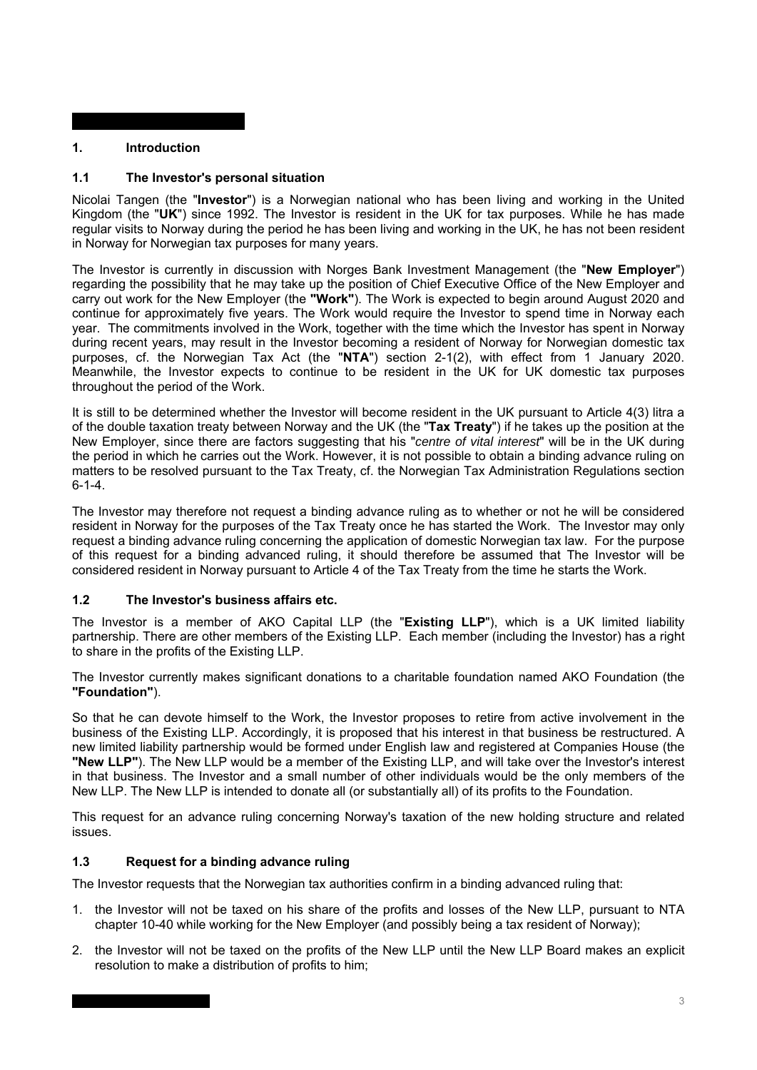# **1. Introduction**

# **1.1 The Investor's personal situation**

Nicolai Tangen (the "**Investor**") is a Norwegian national who has been living and working in the United Kingdom (the "**UK**") since 1992. The Investor is resident in the UK for tax purposes. While he has made regular visits to Norway during the period he has been living and working in the UK, he has not been resident in Norway for Norwegian tax purposes for many years.

The Investor is currently in discussion with Norges Bank Investment Management (the "**New Employer**") regarding the possibility that he may take up the position of Chief Executive Office of the New Employer and carry out work for the New Employer (the **"Work"**). The Work is expected to begin around August 2020 and continue for approximately five years. The Work would require the Investor to spend time in Norway each year. The commitments involved in the Work, together with the time which the Investor has spent in Norway during recent years, may result in the Investor becoming a resident of Norway for Norwegian domestic tax purposes, cf. the Norwegian Tax Act (the "**NTA**") section 2-1(2), with effect from 1 January 2020. Meanwhile, the Investor expects to continue to be resident in the UK for UK domestic tax purposes throughout the period of the Work.

It is still to be determined whether the Investor will become resident in the UK pursuant to Article 4(3) litra a of the double taxation treaty between Norway and the UK (the "**Tax Treaty**") if he takes up the position at the New Employer, since there are factors suggesting that his "*centre of vital interest*" will be in the UK during the period in which he carries out the Work. However, it is not possible to obtain a binding advance ruling on matters to be resolved pursuant to the Tax Treaty, cf. the Norwegian Tax Administration Regulations section  $6 - 1 - 4$ .

The Investor may therefore not request a binding advance ruling as to whether or not he will be considered resident in Norway for the purposes of the Tax Treaty once he has started the Work. The Investor may only request a binding advance ruling concerning the application of domestic Norwegian tax law. For the purpose of this request for a binding advanced ruling, it should therefore be assumed that The Investor will be considered resident in Norway pursuant to Article 4 of the Tax Treaty from the time he starts the Work.

## **1.2 The Investor's business affairs etc.**

The Investor is a member of AKO Capital LLP (the "**Existing LLP**"), which is a UK limited liability partnership. There are other members of the Existing LLP. Each member (including the Investor) has a right to share in the profits of the Existing LLP.

The Investor currently makes significant donations to a charitable foundation named AKO Foundation (the **"Foundation"**).

So that he can devote himself to the Work, the Investor proposes to retire from active involvement in the business of the Existing LLP. Accordingly, it is proposed that his interest in that business be restructured. A new limited liability partnership would be formed under English law and registered at Companies House (the **"New LLP"**). The New LLP would be a member of the Existing LLP, and will take over the Investor's interest in that business. The Investor and a small number of other individuals would be the only members of the New LLP. The New LLP is intended to donate all (or substantially all) of its profits to the Foundation.

This request for an advance ruling concerning Norway's taxation of the new holding structure and related issues.

# **1.3 Request for a binding advance ruling**

The Investor requests that the Norwegian tax authorities confirm in a binding advanced ruling that:

- 1. the Investor will not be taxed on his share of the profits and losses of the New LLP, pursuant to NTA chapter 10-40 while working for the New Employer (and possibly being a tax resident of Norway);
- 2. the Investor will not be taxed on the profits of the New LLP until the New LLP Board makes an explicit resolution to make a distribution of profits to him;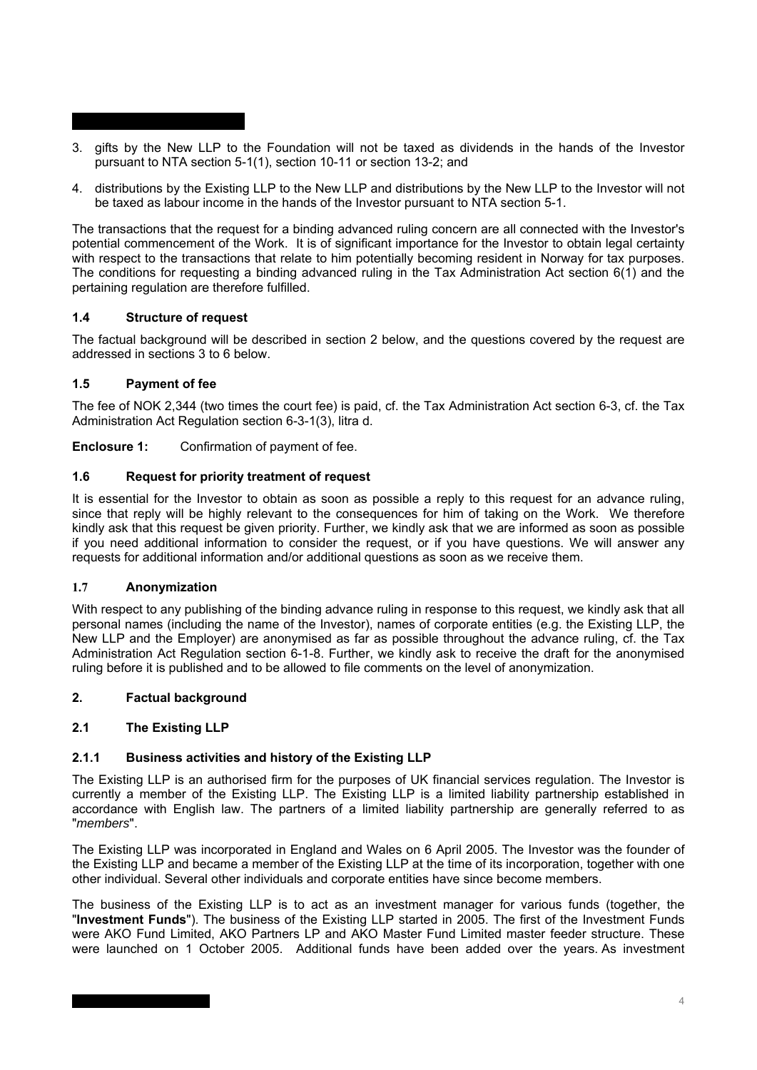- 3. gifts by the New LLP to the Foundation will not be taxed as dividends in the hands of the Investor pursuant to NTA section 5-1(1), section 10-11 or section 13-2; and
- 4. distributions by the Existing LLP to the New LLP and distributions by the New LLP to the Investor will not be taxed as labour income in the hands of the Investor pursuant to NTA section 5-1.

The transactions that the request for a binding advanced ruling concern are all connected with the Investor's potential commencement of the Work. It is of significant importance for the Investor to obtain legal certainty with respect to the transactions that relate to him potentially becoming resident in Norway for tax purposes. The conditions for requesting a binding advanced ruling in the Tax Administration Act section 6(1) and the pertaining regulation are therefore fulfilled.

## **1.4 Structure of request**

The factual background will be described in section 2 below, and the questions covered by the request are addressed in sections 3 to 6 below.

# **1.5 Payment of fee**

The fee of NOK 2,344 (two times the court fee) is paid, cf. the Tax Administration Act section 6-3, cf. the Tax Administration Act Regulation section 6-3-1(3), litra d.

**Enclosure 1:** Confirmation of payment of fee.

## **1.6 Request for priority treatment of request**

It is essential for the Investor to obtain as soon as possible a reply to this request for an advance ruling, since that reply will be highly relevant to the consequences for him of taking on the Work. We therefore kindly ask that this request be given priority. Further, we kindly ask that we are informed as soon as possible if you need additional information to consider the request, or if you have questions. We will answer any requests for additional information and/or additional questions as soon as we receive them.

## **1.7 Anonymization**

With respect to any publishing of the binding advance ruling in response to this request, we kindly ask that all personal names (including the name of the Investor), names of corporate entities (e.g. the Existing LLP, the New LLP and the Employer) are anonymised as far as possible throughout the advance ruling, cf. the Tax Administration Act Regulation section 6-1-8. Further, we kindly ask to receive the draft for the anonymised ruling before it is published and to be allowed to file comments on the level of anonymization.

## **2. Factual background**

## **2.1 The Existing LLP**

## **2.1.1 Business activities and history of the Existing LLP**

The Existing LLP is an authorised firm for the purposes of UK financial services regulation. The Investor is currently a member of the Existing LLP. The Existing LLP is a limited liability partnership established in accordance with English law. The partners of a limited liability partnership are generally referred to as "*members*".

The Existing LLP was incorporated in England and Wales on 6 April 2005. The Investor was the founder of the Existing LLP and became a member of the Existing LLP at the time of its incorporation, together with one other individual. Several other individuals and corporate entities have since become members.

The business of the Existing LLP is to act as an investment manager for various funds (together, the "**Investment Funds**"). The business of the Existing LLP started in 2005. The first of the Investment Funds were AKO Fund Limited, AKO Partners LP and AKO Master Fund Limited master feeder structure. These were launched on 1 October 2005. Additional funds have been added over the years. As investment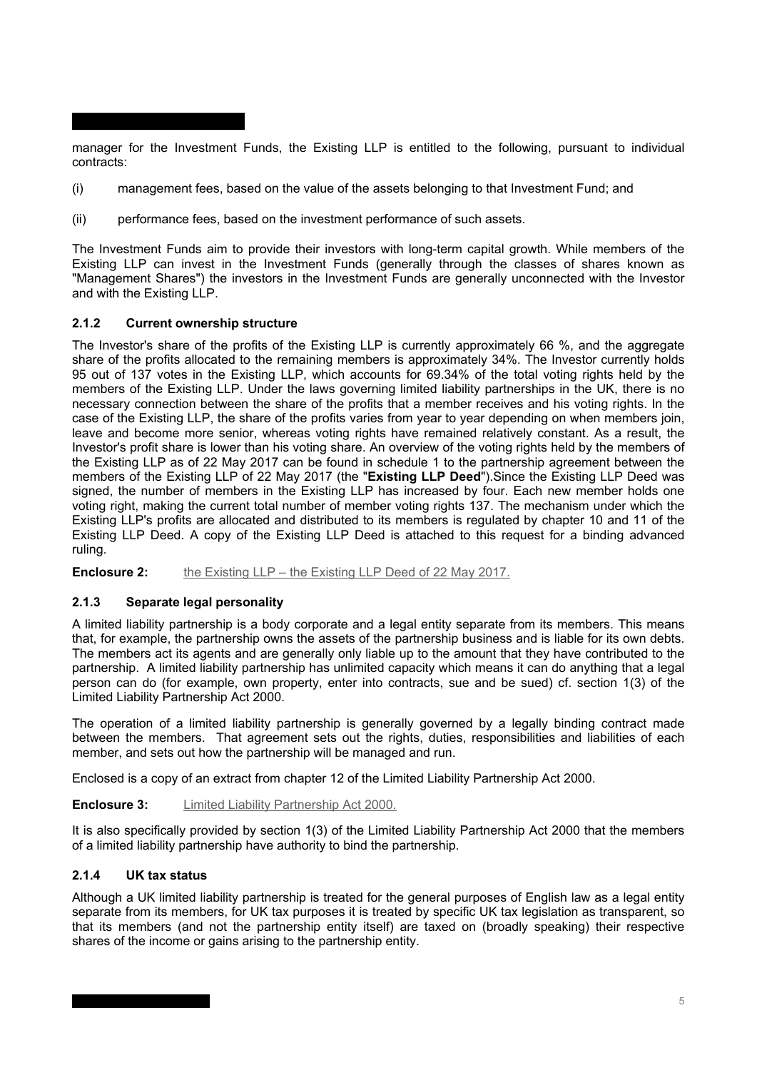manager for the Investment Funds, the Existing LLP is entitled to the following, pursuant to individual contracts:

- (i) management fees, based on the value of the assets belonging to that Investment Fund; and
- (ii) performance fees, based on the investment performance of such assets.

The Investment Funds aim to provide their investors with long-term capital growth. While members of the Existing LLP can invest in the Investment Funds (generally through the classes of shares known as "Management Shares") the investors in the Investment Funds are generally unconnected with the Investor and with the Existing LLP.

## **2.1.2 Current ownership structure**

The Investor's share of the profits of the Existing LLP is currently approximately 66 %, and the aggregate share of the profits allocated to the remaining members is approximately 34%. The Investor currently holds 95 out of 137 votes in the Existing LLP, which accounts for 69.34% of the total voting rights held by the members of the Existing LLP. Under the laws governing limited liability partnerships in the UK, there is no necessary connection between the share of the profits that a member receives and his voting rights. In the case of the Existing LLP, the share of the profits varies from year to year depending on when members join, leave and become more senior, whereas voting rights have remained relatively constant. As a result, the Investor's profit share is lower than his voting share. An overview of the voting rights held by the members of the Existing LLP as of 22 May 2017 can be found in schedule 1 to the partnership agreement between the members of the Existing LLP of 22 May 2017 (the "**Existing LLP Deed**").Since the Existing LLP Deed was signed, the number of members in the Existing LLP has increased by four. Each new member holds one voting right, making the current total number of member voting rights 137. The mechanism under which the Existing LLP's profits are allocated and distributed to its members is regulated by chapter 10 and 11 of the Existing LLP Deed. A copy of the Existing LLP Deed is attached to this request for a binding advanced ruling.

**Enclosure 2:** the Existing LLP – the Existing LLP Deed of 22 May 2017.

## **2.1.3 Separate legal personality**

A limited liability partnership is a body corporate and a legal entity separate from its members. This means that, for example, the partnership owns the assets of the partnership business and is liable for its own debts. The members act its agents and are generally only liable up to the amount that they have contributed to the partnership. A limited liability partnership has unlimited capacity which means it can do anything that a legal person can do (for example, own property, enter into contracts, sue and be sued) cf. section 1(3) of the Limited Liability Partnership Act 2000.

The operation of a limited liability partnership is generally governed by a legally binding contract made between the members. That agreement sets out the rights, duties, responsibilities and liabilities of each member, and sets out how the partnership will be managed and run.

Enclosed is a copy of an extract from chapter 12 of the Limited Liability Partnership Act 2000.

# **Enclosure 3:** Limited Liability Partnership Act 2000.

It is also specifically provided by section 1(3) of the Limited Liability Partnership Act 2000 that the members of a limited liability partnership have authority to bind the partnership.

## **2.1.4 UK tax status**

Although a UK limited liability partnership is treated for the general purposes of English law as a legal entity separate from its members, for UK tax purposes it is treated by specific UK tax legislation as transparent, so that its members (and not the partnership entity itself) are taxed on (broadly speaking) their respective shares of the income or gains arising to the partnership entity.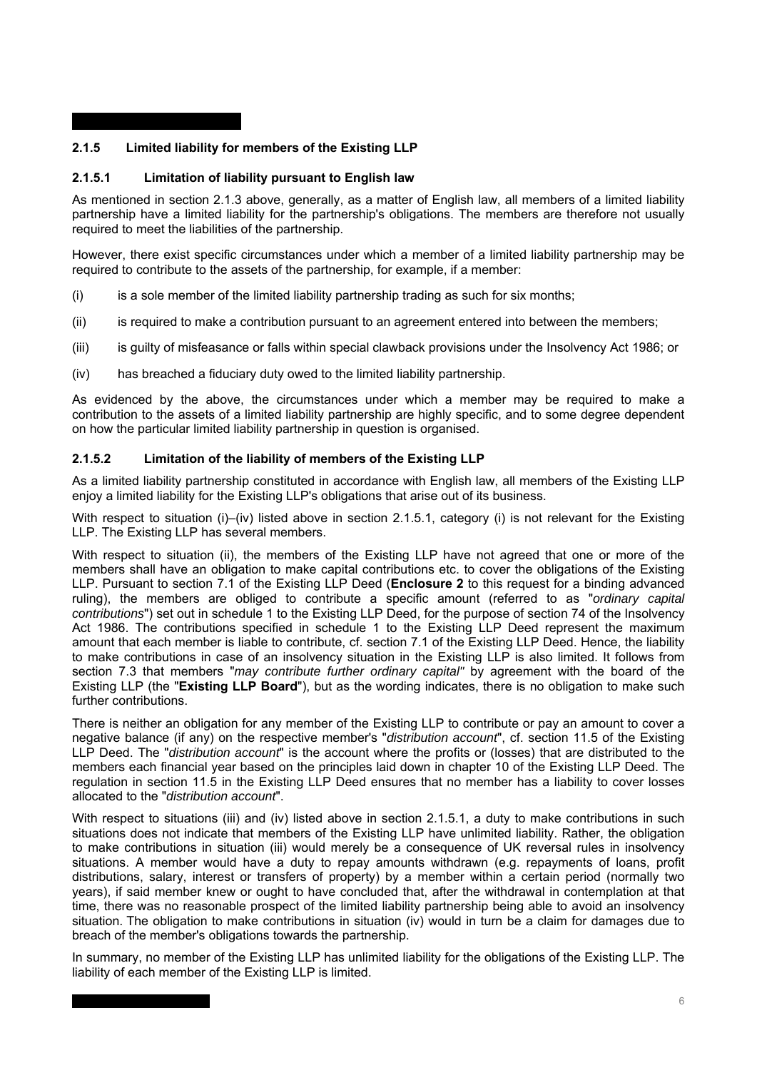# **2.1.5 Limited liability for members of the Existing LLP**

## **2.1.5.1 Limitation of liability pursuant to English law**

As mentioned in section 2.1.3 above, generally, as a matter of English law, all members of a limited liability partnership have a limited liability for the partnership's obligations. The members are therefore not usually required to meet the liabilities of the partnership.

However, there exist specific circumstances under which a member of a limited liability partnership may be required to contribute to the assets of the partnership, for example, if a member:

- $(i)$  is a sole member of the limited liability partnership trading as such for six months;
- $(iii)$  is required to make a contribution pursuant to an agreement entered into between the members;
- (iii) is guilty of misfeasance or falls within special clawback provisions under the Insolvency Act 1986; or
- (iv) has breached a fiduciary duty owed to the limited liability partnership.

As evidenced by the above, the circumstances under which a member may be required to make a contribution to the assets of a limited liability partnership are highly specific, and to some degree dependent on how the particular limited liability partnership in question is organised.

## **2.1.5.2 Limitation of the liability of members of the Existing LLP**

As a limited liability partnership constituted in accordance with English law, all members of the Existing LLP enjoy a limited liability for the Existing LLP's obligations that arise out of its business.

With respect to situation (i)–(iv) listed above in section 2.1.5.1, category (i) is not relevant for the Existing LLP. The Existing LLP has several members.

With respect to situation (ii), the members of the Existing LLP have not agreed that one or more of the members shall have an obligation to make capital contributions etc. to cover the obligations of the Existing LLP. Pursuant to section 7.1 of the Existing LLP Deed (**Enclosure 2** to this request for a binding advanced ruling), the members are obliged to contribute a specific amount (referred to as "*ordinary capital contributions*") set out in schedule 1 to the Existing LLP Deed, for the purpose of section 74 of the Insolvency Act 1986. The contributions specified in schedule 1 to the Existing LLP Deed represent the maximum amount that each member is liable to contribute, cf. section 7.1 of the Existing LLP Deed. Hence, the liability to make contributions in case of an insolvency situation in the Existing LLP is also limited. It follows from section 7.3 that members "*may contribute further ordinary capital"* by agreement with the board of the Existing LLP (the "**Existing LLP Board**"), but as the wording indicates, there is no obligation to make such further contributions.

There is neither an obligation for any member of the Existing LLP to contribute or pay an amount to cover a negative balance (if any) on the respective member's "*distribution account*", cf. section 11.5 of the Existing LLP Deed. The "*distribution account*" is the account where the profits or (losses) that are distributed to the members each financial year based on the principles laid down in chapter 10 of the Existing LLP Deed. The regulation in section 11.5 in the Existing LLP Deed ensures that no member has a liability to cover losses allocated to the "*distribution account*".

With respect to situations (iii) and (iv) listed above in section 2.1.5.1, a duty to make contributions in such situations does not indicate that members of the Existing LLP have unlimited liability. Rather, the obligation to make contributions in situation (iii) would merely be a consequence of UK reversal rules in insolvency situations. A member would have a duty to repay amounts withdrawn (e.g. repayments of loans, profit distributions, salary, interest or transfers of property) by a member within a certain period (normally two years), if said member knew or ought to have concluded that, after the withdrawal in contemplation at that time, there was no reasonable prospect of the limited liability partnership being able to avoid an insolvency situation. The obligation to make contributions in situation (iv) would in turn be a claim for damages due to breach of the member's obligations towards the partnership.

In summary, no member of the Existing LLP has unlimited liability for the obligations of the Existing LLP. The liability of each member of the Existing LLP is limited.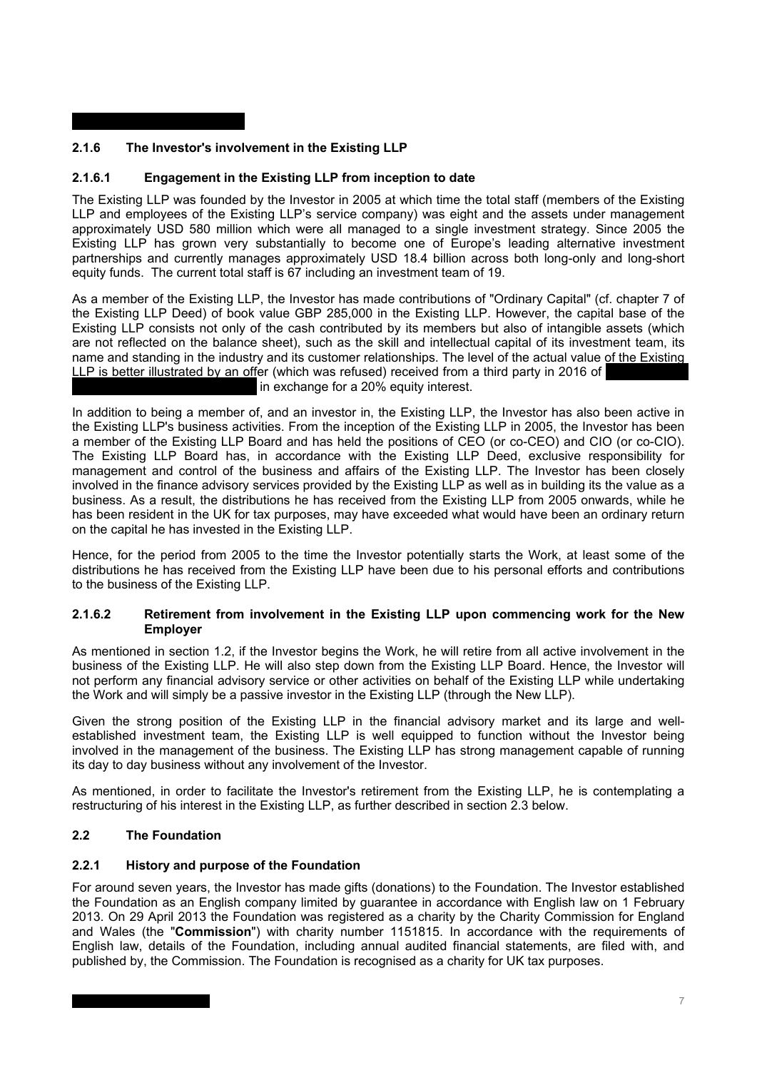# **2.1.6 The Investor's involvement in the Existing LLP**

# **2.1.6.1 Engagement in the Existing LLP from inception to date**

The Existing LLP was founded by the Investor in 2005 at which time the total staff (members of the Existing LLP and employees of the Existing LLP's service company) was eight and the assets under management approximately USD 580 million which were all managed to a single investment strategy. Since 2005 the Existing LLP has grown very substantially to become one of Europe's leading alternative investment partnerships and currently manages approximately USD 18.4 billion across both long-only and long-short equity funds. The current total staff is 67 including an investment team of 19.

As a member of the Existing LLP, the Investor has made contributions of "Ordinary Capital" (cf. chapter 7 of the Existing LLP Deed) of book value GBP 285,000 in the Existing LLP. However, the capital base of the Existing LLP consists not only of the cash contributed by its members but also of intangible assets (which are not reflected on the balance sheet), such as the skill and intellectual capital of its investment team, its name and standing in the industry and its customer relationships. The level of the actual value of the Existing LLP is better illustrated by an offer (which was refused) received from a third party in 2016 of in exchange for a 20% equity interest.

In addition to being a member of, and an investor in, the Existing LLP, the Investor has also been active in the Existing LLP's business activities. From the inception of the Existing LLP in 2005, the Investor has been a member of the Existing LLP Board and has held the positions of CEO (or co-CEO) and CIO (or co-CIO). The Existing LLP Board has, in accordance with the Existing LLP Deed, exclusive responsibility for management and control of the business and affairs of the Existing LLP. The Investor has been closely involved in the finance advisory services provided by the Existing LLP as well as in building its the value as a business. As a result, the distributions he has received from the Existing LLP from 2005 onwards, while he has been resident in the UK for tax purposes, may have exceeded what would have been an ordinary return on the capital he has invested in the Existing LLP.

Hence, for the period from 2005 to the time the Investor potentially starts the Work, at least some of the distributions he has received from the Existing LLP have been due to his personal efforts and contributions to the business of the Existing LLP.

### **2.1.6.2 Retirement from involvement in the Existing LLP upon commencing work for the New Employer**

As mentioned in section 1.2, if the Investor begins the Work, he will retire from all active involvement in the business of the Existing LLP. He will also step down from the Existing LLP Board. Hence, the Investor will not perform any financial advisory service or other activities on behalf of the Existing LLP while undertaking the Work and will simply be a passive investor in the Existing LLP (through the New LLP).

Given the strong position of the Existing LLP in the financial advisory market and its large and wellestablished investment team, the Existing LLP is well equipped to function without the Investor being involved in the management of the business. The Existing LLP has strong management capable of running its day to day business without any involvement of the Investor.

As mentioned, in order to facilitate the Investor's retirement from the Existing LLP, he is contemplating a restructuring of his interest in the Existing LLP, as further described in section 2.3 below.

## **2.2 The Foundation**

## **2.2.1 History and purpose of the Foundation**

For around seven years, the Investor has made gifts (donations) to the Foundation. The Investor established the Foundation as an English company limited by guarantee in accordance with English law on 1 February 2013. On 29 April 2013 the Foundation was registered as a charity by the Charity Commission for England and Wales (the "**Commission**") with charity number 1151815. In accordance with the requirements of English law, details of the Foundation, including annual audited financial statements, are filed with, and published by, the Commission. The Foundation is recognised as a charity for UK tax purposes.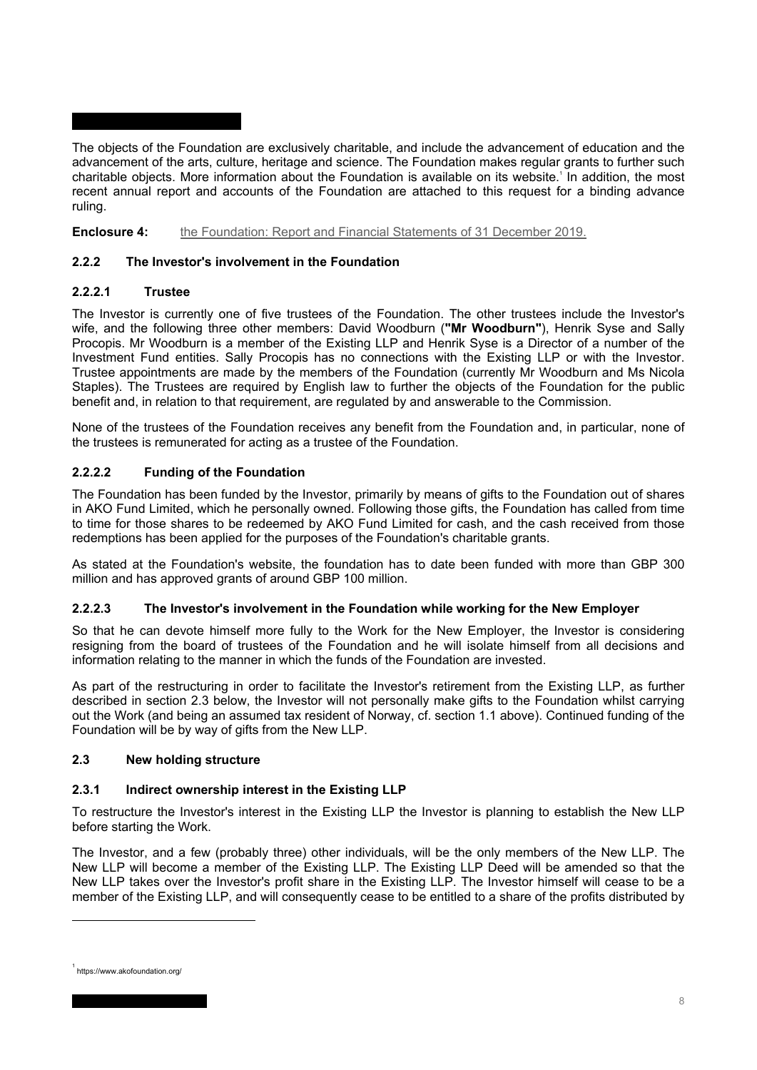The objects of the Foundation are exclusively charitable, and include the advancement of education and the advancement of the arts, culture, heritage and science. The Foundation makes regular grants to further such charitable objects. More information about the Foundation is available on its website.' In addition, the most recent annual report and accounts of the Foundation are attached to this request for a binding advance ruling.

**Enclosure 4:** the Foundation: Report and Financial Statements of 31 December 2019.

# **2.2.2 The Investor's involvement in the Foundation**

# **2.2.2.1 Trustee**

The Investor is currently one of five trustees of the Foundation. The other trustees include the Investor's wife, and the following three other members: David Woodburn (**"Mr Woodburn"**), Henrik Syse and Sally Procopis. Mr Woodburn is a member of the Existing LLP and Henrik Syse is a Director of a number of the Investment Fund entities. Sally Procopis has no connections with the Existing LLP or with the Investor. Trustee appointments are made by the members of the Foundation (currently Mr Woodburn and Ms Nicola Staples). The Trustees are required by English law to further the objects of the Foundation for the public benefit and, in relation to that requirement, are regulated by and answerable to the Commission.

None of the trustees of the Foundation receives any benefit from the Foundation and, in particular, none of the trustees is remunerated for acting as a trustee of the Foundation.

# **2.2.2.2 Funding of the Foundation**

The Foundation has been funded by the Investor, primarily by means of gifts to the Foundation out of shares in AKO Fund Limited, which he personally owned. Following those gifts, the Foundation has called from time to time for those shares to be redeemed by AKO Fund Limited for cash, and the cash received from those redemptions has been applied for the purposes of the Foundation's charitable grants.

As stated at the Foundation's website, the foundation has to date been funded with more than GBP 300 million and has approved grants of around GBP 100 million.

## **2.2.2.3 The Investor's involvement in the Foundation while working for the New Employer**

So that he can devote himself more fully to the Work for the New Employer, the Investor is considering resigning from the board of trustees of the Foundation and he will isolate himself from all decisions and information relating to the manner in which the funds of the Foundation are invested.

As part of the restructuring in order to facilitate the Investor's retirement from the Existing LLP, as further described in section 2.3 below, the Investor will not personally make gifts to the Foundation whilst carrying out the Work (and being an assumed tax resident of Norway, cf. section 1.1 above). Continued funding of the Foundation will be by way of gifts from the New LLP.

## **2.3 New holding structure**

# **2.3.1 Indirect ownership interest in the Existing LLP**

To restructure the Investor's interest in the Existing LLP the Investor is planning to establish the New LLP before starting the Work.

The Investor, and a few (probably three) other individuals, will be the only members of the New LLP. The New LLP will become a member of the Existing LLP. The Existing LLP Deed will be amended so that the New LLP takes over the Investor's profit share in the Existing LLP. The Investor himself will cease to be a member of the Existing LLP, and will consequently cease to be entitled to a share of the profits distributed by

<sup>1</sup> https://www.akofoundation.org/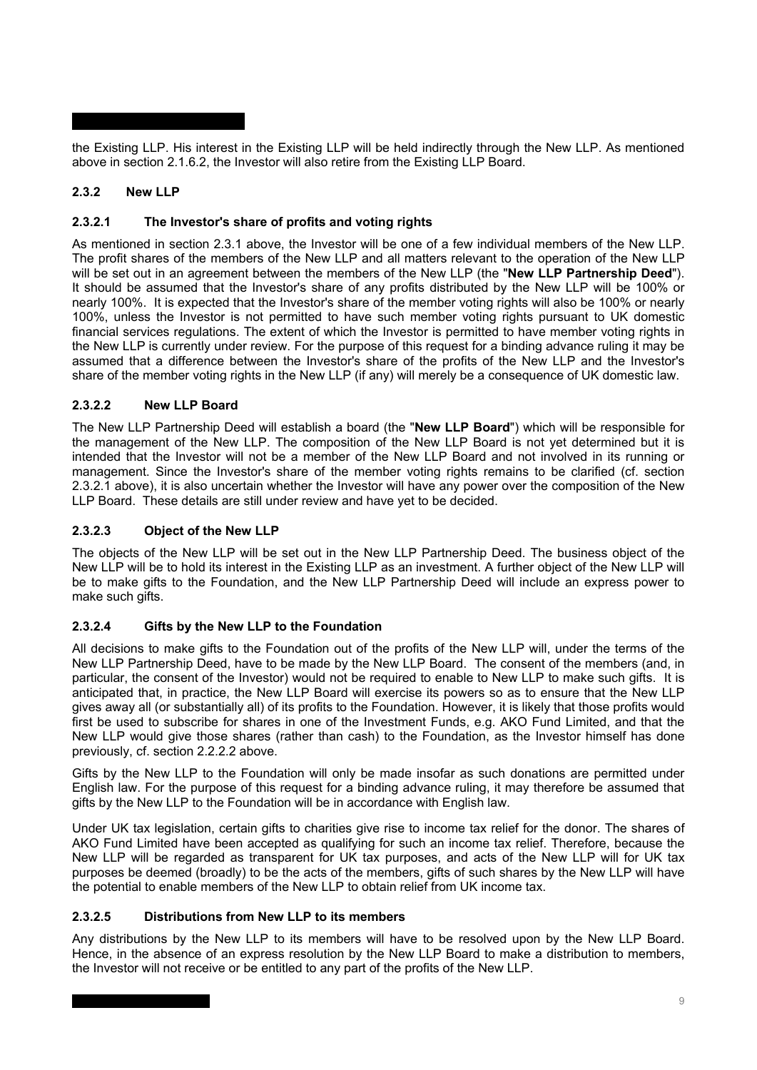the Existing LLP. His interest in the Existing LLP will be held indirectly through the New LLP. As mentioned above in section 2.1.6.2, the Investor will also retire from the Existing LLP Board.

# **2.3.2 New LLP**

# **2.3.2.1 The Investor's share of profits and voting rights**

As mentioned in section 2.3.1 above, the Investor will be one of a few individual members of the New LLP. The profit shares of the members of the New LLP and all matters relevant to the operation of the New LLP will be set out in an agreement between the members of the New LLP (the "**New LLP Partnership Deed**"). It should be assumed that the Investor's share of any profits distributed by the New LLP will be 100% or nearly 100%. It is expected that the Investor's share of the member voting rights will also be 100% or nearly 100%, unless the Investor is not permitted to have such member voting rights pursuant to UK domestic financial services regulations. The extent of which the Investor is permitted to have member voting rights in the New LLP is currently under review. For the purpose of this request for a binding advance ruling it may be assumed that a difference between the Investor's share of the profits of the New LLP and the Investor's share of the member voting rights in the New LLP (if any) will merely be a consequence of UK domestic law.

# **2.3.2.2 New LLP Board**

The New LLP Partnership Deed will establish a board (the "**New LLP Board**") which will be responsible for the management of the New LLP. The composition of the New LLP Board is not yet determined but it is intended that the Investor will not be a member of the New LLP Board and not involved in its running or management. Since the Investor's share of the member voting rights remains to be clarified (cf. section 2.3.2.1 above), it is also uncertain whether the Investor will have any power over the composition of the New LLP Board. These details are still under review and have yet to be decided.

# **2.3.2.3 Object of the New LLP**

The objects of the New LLP will be set out in the New LLP Partnership Deed. The business object of the New LLP will be to hold its interest in the Existing LLP as an investment. A further object of the New LLP will be to make gifts to the Foundation, and the New LLP Partnership Deed will include an express power to make such gifts.

# **2.3.2.4 Gifts by the New LLP to the Foundation**

All decisions to make gifts to the Foundation out of the profits of the New LLP will, under the terms of the New LLP Partnership Deed, have to be made by the New LLP Board. The consent of the members (and, in particular, the consent of the Investor) would not be required to enable to New LLP to make such gifts. It is anticipated that, in practice, the New LLP Board will exercise its powers so as to ensure that the New LLP gives away all (or substantially all) of its profits to the Foundation. However, it is likely that those profits would first be used to subscribe for shares in one of the Investment Funds, e.g. AKO Fund Limited, and that the New LLP would give those shares (rather than cash) to the Foundation, as the Investor himself has done previously, cf. section 2.2.2.2 above.

Gifts by the New LLP to the Foundation will only be made insofar as such donations are permitted under English law. For the purpose of this request for a binding advance ruling, it may therefore be assumed that gifts by the New LLP to the Foundation will be in accordance with English law.

Under UK tax legislation, certain gifts to charities give rise to income tax relief for the donor. The shares of AKO Fund Limited have been accepted as qualifying for such an income tax relief. Therefore, because the New LLP will be regarded as transparent for UK tax purposes, and acts of the New LLP will for UK tax purposes be deemed (broadly) to be the acts of the members, gifts of such shares by the New LLP will have the potential to enable members of the New LLP to obtain relief from UK income tax.

## **2.3.2.5 Distributions from New LLP to its members**

Any distributions by the New LLP to its members will have to be resolved upon by the New LLP Board. Hence, in the absence of an express resolution by the New LLP Board to make a distribution to members, the Investor will not receive or be entitled to any part of the profits of the New LLP.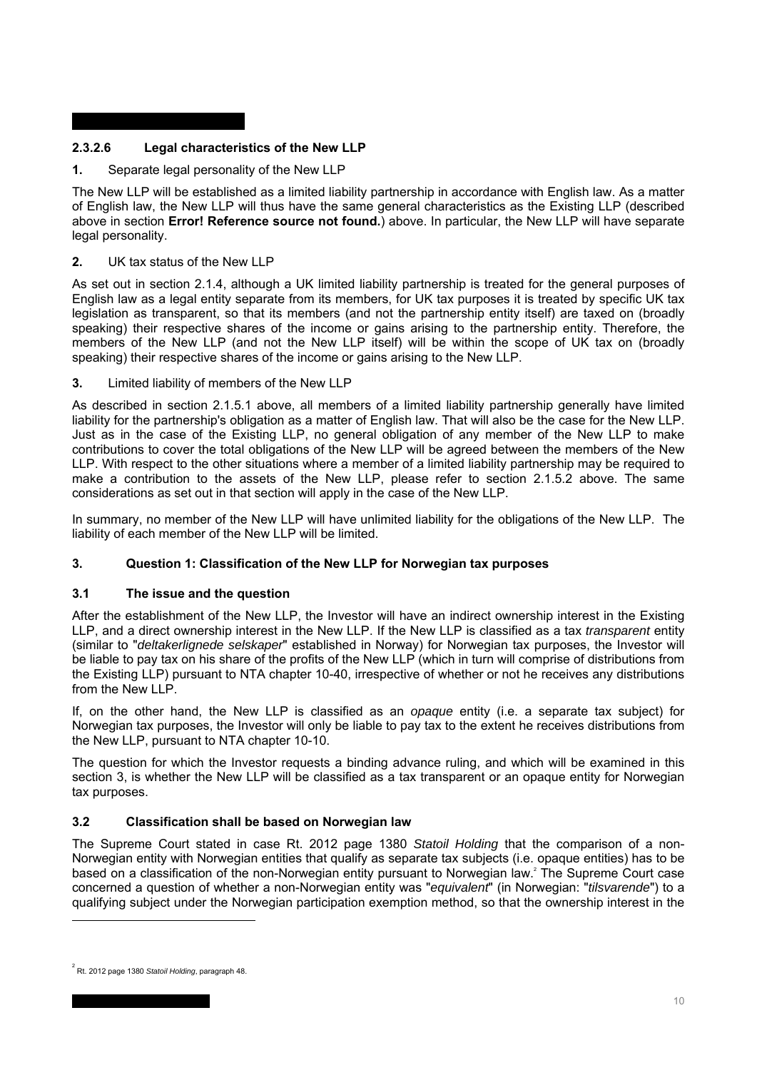# **2.3.2.6 Legal characteristics of the New LLP**

**1.** Separate legal personality of the New LLP

The New LLP will be established as a limited liability partnership in accordance with English law. As a matter of English law, the New LLP will thus have the same general characteristics as the Existing LLP (described above in section **Error! Reference source not found.**) above. In particular, the New LLP will have separate legal personality.

## **2.** UK tax status of the New LLP

As set out in section 2.1.4, although a UK limited liability partnership is treated for the general purposes of English law as a legal entity separate from its members, for UK tax purposes it is treated by specific UK tax legislation as transparent, so that its members (and not the partnership entity itself) are taxed on (broadly speaking) their respective shares of the income or gains arising to the partnership entity. Therefore, the members of the New LLP (and not the New LLP itself) will be within the scope of UK tax on (broadly speaking) their respective shares of the income or gains arising to the New LLP.

**3.** Limited liability of members of the New LLP

As described in section 2.1.5.1 above, all members of a limited liability partnership generally have limited liability for the partnership's obligation as a matter of English law. That will also be the case for the New LLP. Just as in the case of the Existing LLP, no general obligation of any member of the New LLP to make contributions to cover the total obligations of the New LLP will be agreed between the members of the New LLP. With respect to the other situations where a member of a limited liability partnership may be required to make a contribution to the assets of the New LLP, please refer to section 2.1.5.2 above. The same considerations as set out in that section will apply in the case of the New LLP.

In summary, no member of the New LLP will have unlimited liability for the obligations of the New LLP. The liability of each member of the New LLP will be limited.

## **3. Question 1: Classification of the New LLP for Norwegian tax purposes**

## **3.1 The issue and the question**

After the establishment of the New LLP, the Investor will have an indirect ownership interest in the Existing LLP, and a direct ownership interest in the New LLP. If the New LLP is classified as a tax *transparent* entity (similar to "*deltakerlignede selskaper*" established in Norway) for Norwegian tax purposes, the Investor will be liable to pay tax on his share of the profits of the New LLP (which in turn will comprise of distributions from the Existing LLP) pursuant to NTA chapter 10-40, irrespective of whether or not he receives any distributions from the New LLP.

If, on the other hand, the New LLP is classified as an *opaque* entity (i.e. a separate tax subject) for Norwegian tax purposes, the Investor will only be liable to pay tax to the extent he receives distributions from the New LLP, pursuant to NTA chapter 10-10.

The question for which the Investor requests a binding advance ruling, and which will be examined in this section 3, is whether the New LLP will be classified as a tax transparent or an opaque entity for Norwegian tax purposes.

## **3.2 Classification shall be based on Norwegian law**

The Supreme Court stated in case Rt. 2012 page 1380 *Statoil Holding* that the comparison of a non-Norwegian entity with Norwegian entities that qualify as separate tax subjects (i.e. opaque entities) has to be based on a classification of the non-Norwegian entity pursuant to Norwegian law.2 The Supreme Court case concerned a question of whether a non-Norwegian entity was "*equivalent*" (in Norwegian: "*tilsvarende*") to a qualifying subject under the Norwegian participation exemption method, so that the ownership interest in the

<sup>2</sup> Rt. 2012 page 1380 *Statoil Holding*, paragraph 48.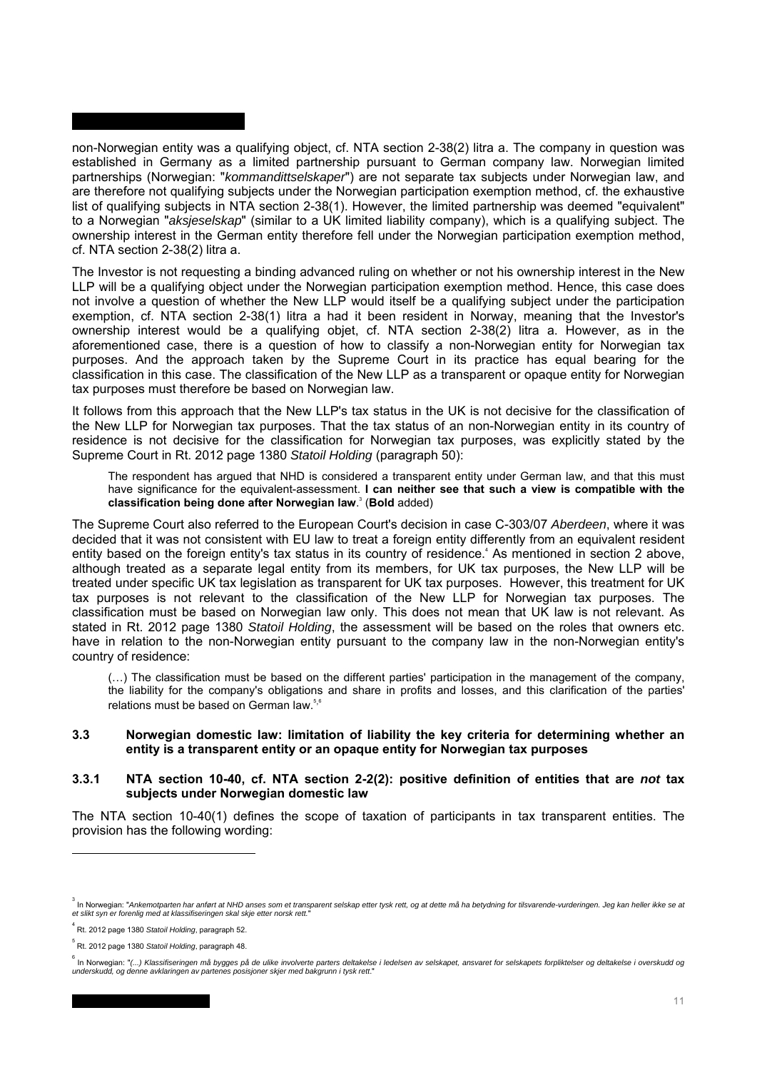non-Norwegian entity was a qualifying object, cf. NTA section 2-38(2) litra a. The company in question was established in Germany as a limited partnership pursuant to German company law. Norwegian limited partnerships (Norwegian: "*kommandittselskaper*") are not separate tax subjects under Norwegian law, and are therefore not qualifying subjects under the Norwegian participation exemption method, cf. the exhaustive list of qualifying subjects in NTA section 2-38(1). However, the limited partnership was deemed "equivalent" to a Norwegian "*aksjeselskap*" (similar to a UK limited liability company), which is a qualifying subject. The ownership interest in the German entity therefore fell under the Norwegian participation exemption method, cf. NTA section 2-38(2) litra a.

The Investor is not requesting a binding advanced ruling on whether or not his ownership interest in the New LLP will be a qualifying object under the Norwegian participation exemption method. Hence, this case does not involve a question of whether the New LLP would itself be a qualifying subject under the participation exemption, cf. NTA section 2-38(1) litra a had it been resident in Norway, meaning that the Investor's ownership interest would be a qualifying objet, cf. NTA section 2-38(2) litra a. However, as in the aforementioned case, there is a question of how to classify a non-Norwegian entity for Norwegian tax purposes. And the approach taken by the Supreme Court in its practice has equal bearing for the classification in this case. The classification of the New LLP as a transparent or opaque entity for Norwegian tax purposes must therefore be based on Norwegian law.

It follows from this approach that the New LLP's tax status in the UK is not decisive for the classification of the New LLP for Norwegian tax purposes. That the tax status of an non-Norwegian entity in its country of residence is not decisive for the classification for Norwegian tax purposes, was explicitly stated by the Supreme Court in Rt. 2012 page 1380 *Statoil Holding* (paragraph 50):

The respondent has argued that NHD is considered a transparent entity under German law, and that this must have significance for the equivalent-assessment. **I can neither see that such a view is compatible with the classification being done after Norwegian law**. 3 (**Bold** added)

The Supreme Court also referred to the European Court's decision in case C-303/07 *Aberdeen*, where it was decided that it was not consistent with EU law to treat a foreign entity differently from an equivalent resident entity based on the foreign entity's tax status in its country of residence.<sup>4</sup> As mentioned in section 2 above, although treated as a separate legal entity from its members, for UK tax purposes, the New LLP will be treated under specific UK tax legislation as transparent for UK tax purposes. However, this treatment for UK tax purposes is not relevant to the classification of the New LLP for Norwegian tax purposes. The classification must be based on Norwegian law only. This does not mean that UK law is not relevant. As stated in Rt. 2012 page 1380 *Statoil Holding*, the assessment will be based on the roles that owners etc. have in relation to the non-Norwegian entity pursuant to the company law in the non-Norwegian entity's country of residence:

(…) The classification must be based on the different parties' participation in the management of the company, the liability for the company's obligations and share in profits and losses, and this clarification of the parties' relations must be based on German law.<sup>5,6</sup>

### **3.3 Norwegian domestic law: limitation of liability the key criteria for determining whether an entity is a transparent entity or an opaque entity for Norwegian tax purposes**

### **3.3.1 NTA section 10-40, cf. NTA section 2-2(2): positive definition of entities that are** *not* **tax subjects under Norwegian domestic law**

The NTA section 10-40(1) defines the scope of taxation of participants in tax transparent entities. The provision has the following wording:

<sup>&</sup>lt;sup>3</sup> In Norwegian: "Ankemotparten har anført at NHD anses som et transparent selskap etter tysk rett, og at dette må ha betydning for tilsvarende-vurderingen. Jeg kan heller ikke se at *et slikt syn er forenlig med at klassifiseringen skal skje etter norsk rett.*"

<sup>4</sup> Rt. 2012 page 1380 *Statoil Holding*, paragraph 52.

<sup>5</sup> Rt. 2012 page 1380 *Statoil Holding*, paragraph 48.

<sup>。&</sup>lt;br>In Norwegian: "(...) Klassifiseringen må bygges på de ulike involverte parters deltakelse i ledelsen av selskapet, ansvaret for selskapets forpliktelser og deltakelse i overskudd og<br>underskudd, og denne avklaringen av pa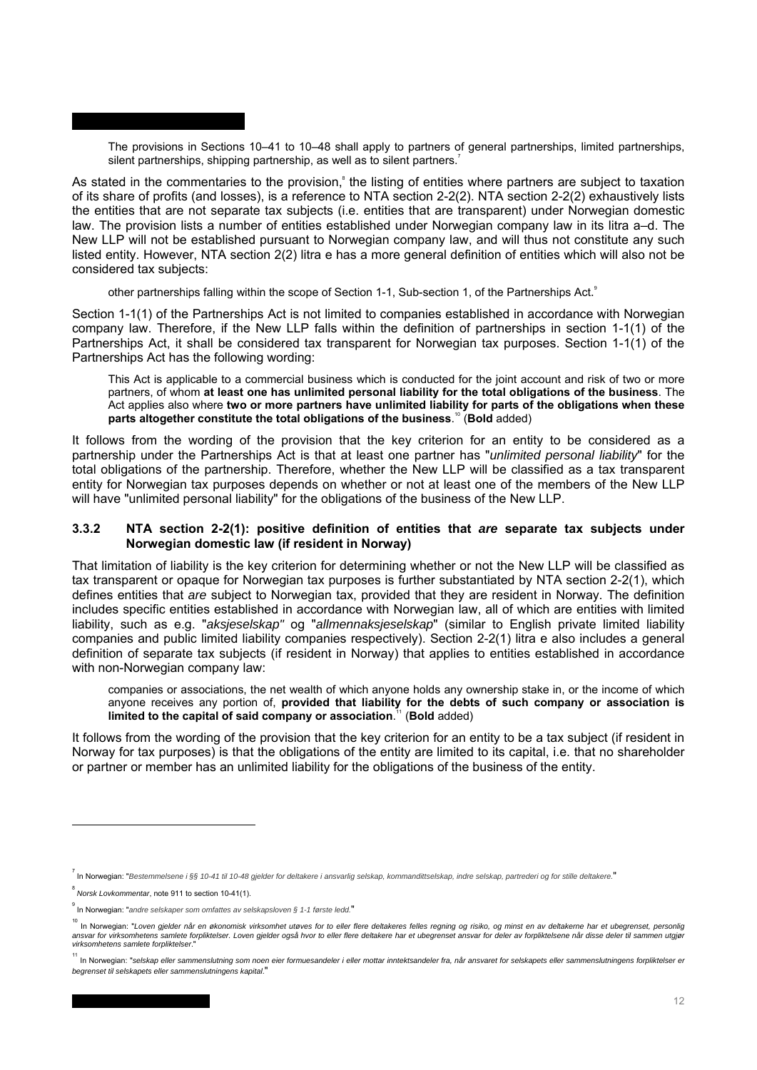The provisions in Sections 10–41 to 10–48 shall apply to partners of general partnerships, limited partnerships, silent partnerships, shipping partnership, as well as to silent partners.<sup>7</sup>

As stated in the commentaries to the provision,<sup>8</sup> the listing of entities where partners are subject to taxation of its share of profits (and losses), is a reference to NTA section 2-2(2). NTA section 2-2(2) exhaustively lists the entities that are not separate tax subjects (i.e. entities that are transparent) under Norwegian domestic law. The provision lists a number of entities established under Norwegian company law in its litra a–d. The New LLP will not be established pursuant to Norwegian company law, and will thus not constitute any such listed entity. However, NTA section 2(2) litra e has a more general definition of entities which will also not be considered tax subjects:

other partnerships falling within the scope of Section 1-1, Sub-section 1, of the Partnerships Act.

Section 1-1(1) of the Partnerships Act is not limited to companies established in accordance with Norwegian company law. Therefore, if the New LLP falls within the definition of partnerships in section 1-1(1) of the Partnerships Act, it shall be considered tax transparent for Norwegian tax purposes. Section 1-1(1) of the Partnerships Act has the following wording:

This Act is applicable to a commercial business which is conducted for the joint account and risk of two or more partners, of whom **at least one has unlimited personal liability for the total obligations of the business**. The Act applies also where **two or more partners have unlimited liability for parts of the obligations when these parts altogether constitute the total obligations of the business**. <sup>10</sup> (**Bold** added)

It follows from the wording of the provision that the key criterion for an entity to be considered as a partnership under the Partnerships Act is that at least one partner has "*unlimited personal liability*" for the total obligations of the partnership. Therefore, whether the New LLP will be classified as a tax transparent entity for Norwegian tax purposes depends on whether or not at least one of the members of the New LLP will have "unlimited personal liability" for the obligations of the business of the New LLP.

### **3.3.2 NTA section 2-2(1): positive definition of entities that** *are* **separate tax subjects under Norwegian domestic law (if resident in Norway)**

That limitation of liability is the key criterion for determining whether or not the New LLP will be classified as tax transparent or opaque for Norwegian tax purposes is further substantiated by NTA section 2-2(1), which defines entities that *are* subject to Norwegian tax, provided that they are resident in Norway. The definition includes specific entities established in accordance with Norwegian law, all of which are entities with limited liability, such as e.g. "*aksjeselskap"* og "*allmennaksjeselskap*" (similar to English private limited liability companies and public limited liability companies respectively). Section 2-2(1) litra e also includes a general definition of separate tax subjects (if resident in Norway) that applies to entities established in accordance with non-Norwegian company law:

companies or associations, the net wealth of which anyone holds any ownership stake in, or the income of which anyone receives any portion of, **provided that liability for the debts of such company or association is limited to the capital of said company or association**. <sup>11</sup> (**Bold** added)

It follows from the wording of the provision that the key criterion for an entity to be a tax subject (if resident in Norway for tax purposes) is that the obligations of the entity are limited to its capital, i.e. that no shareholder or partner or member has an unlimited liability for the obligations of the business of the entity.

<sup>&</sup>lt;sup>7</sup> In Norwegian: "Bestemmelsene i §§ 10-41 til 10-48 gjelder for deltakere i ansvarlig selskap, kommandittselskap, indre selskap, partrederi og for stille deltakere."

<sup>8</sup> *Norsk Lovkommentar*, note 911 to section 10-41(1).

<sup>9</sup> In Norwegian: "*andre selskaper som omfattes av selskapsloven § 1-1 første ledd.*"

<sup>10</sup> In Norwegian: "*Loven gjelder når en økonomisk virksomhet utøves for to eller flere deltakeres felles regning og risiko, og minst en av deltakerne har et ubegrenset, personlig*  ansvar for virksomhetens samlete forpliktelser. Loven gjelder også hvor to eller flere deltakere har et ubegrenset ansvar for deler av forpliktelsene når disse deler til sammen utgjør *virksomhetens samlete forpliktelser*."

<sup>&</sup>lt;sup>11</sup> In Norwegian: "selskap eller sammenslutning som noen eier formuesandeler i eller mottar inntektsandeler fra, når ansvaret for selskapets eller sammenslutningens forpliktelser er *begrenset til selskapets eller sammenslutningens kapital*."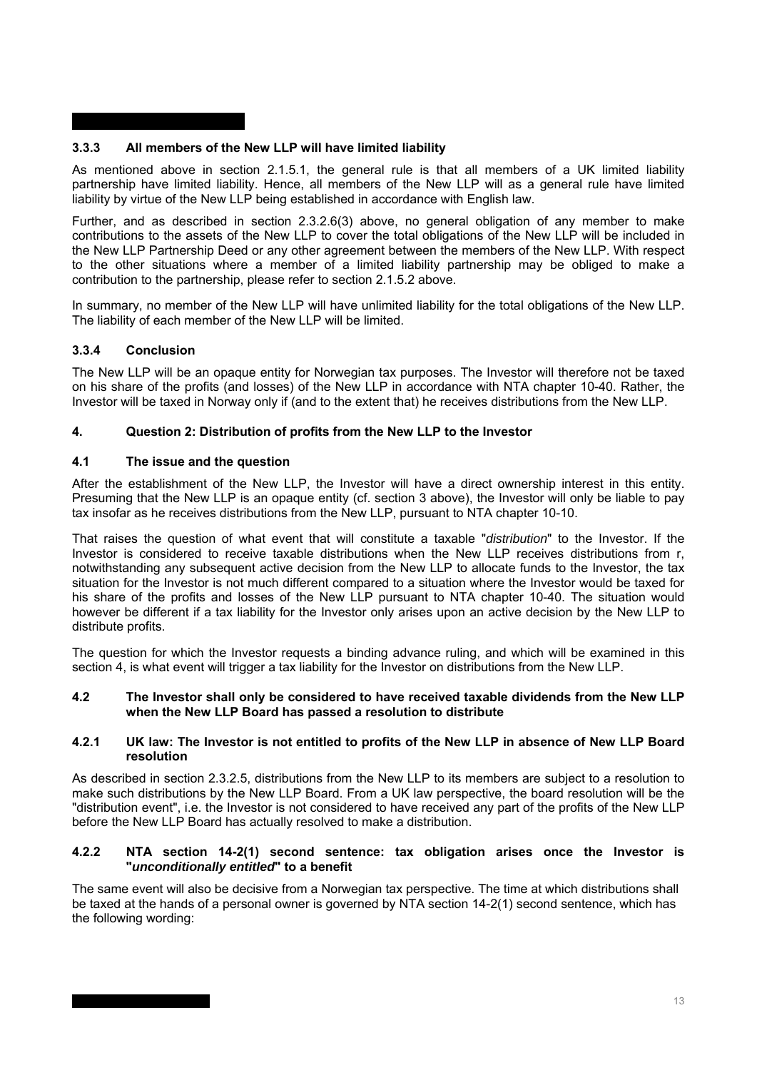# **3.3.3 All members of the New LLP will have limited liability**

As mentioned above in section 2.1.5.1, the general rule is that all members of a UK limited liability partnership have limited liability. Hence, all members of the New LLP will as a general rule have limited liability by virtue of the New LLP being established in accordance with English law.

Further, and as described in section 2.3.2.6(3) above, no general obligation of any member to make contributions to the assets of the New LLP to cover the total obligations of the New LLP will be included in the New LLP Partnership Deed or any other agreement between the members of the New LLP. With respect to the other situations where a member of a limited liability partnership may be obliged to make a contribution to the partnership, please refer to section 2.1.5.2 above.

In summary, no member of the New LLP will have unlimited liability for the total obligations of the New LLP. The liability of each member of the New LLP will be limited.

## **3.3.4 Conclusion**

The New LLP will be an opaque entity for Norwegian tax purposes. The Investor will therefore not be taxed on his share of the profits (and losses) of the New LLP in accordance with NTA chapter 10-40. Rather, the Investor will be taxed in Norway only if (and to the extent that) he receives distributions from the New LLP.

## **4. Question 2: Distribution of profits from the New LLP to the Investor**

## **4.1 The issue and the question**

After the establishment of the New LLP, the Investor will have a direct ownership interest in this entity. Presuming that the New LLP is an opaque entity (cf. section 3 above), the Investor will only be liable to pay tax insofar as he receives distributions from the New LLP, pursuant to NTA chapter 10-10.

That raises the question of what event that will constitute a taxable "*distribution*" to the Investor. If the Investor is considered to receive taxable distributions when the New LLP receives distributions from r, notwithstanding any subsequent active decision from the New LLP to allocate funds to the Investor, the tax situation for the Investor is not much different compared to a situation where the Investor would be taxed for his share of the profits and losses of the New LLP pursuant to NTA chapter 10-40. The situation would however be different if a tax liability for the Investor only arises upon an active decision by the New LLP to distribute profits.

The question for which the Investor requests a binding advance ruling, and which will be examined in this section 4, is what event will trigger a tax liability for the Investor on distributions from the New LLP.

### **4.2 The Investor shall only be considered to have received taxable dividends from the New LLP when the New LLP Board has passed a resolution to distribute**

### **4.2.1 UK law: The Investor is not entitled to profits of the New LLP in absence of New LLP Board resolution**

As described in section 2.3.2.5, distributions from the New LLP to its members are subject to a resolution to make such distributions by the New LLP Board. From a UK law perspective, the board resolution will be the "distribution event", i.e. the Investor is not considered to have received any part of the profits of the New LLP before the New LLP Board has actually resolved to make a distribution.

### **4.2.2 NTA section 14-2(1) second sentence: tax obligation arises once the Investor is "***unconditionally entitled***" to a benefit**

The same event will also be decisive from a Norwegian tax perspective. The time at which distributions shall be taxed at the hands of a personal owner is governed by NTA section 14-2(1) second sentence, which has the following wording: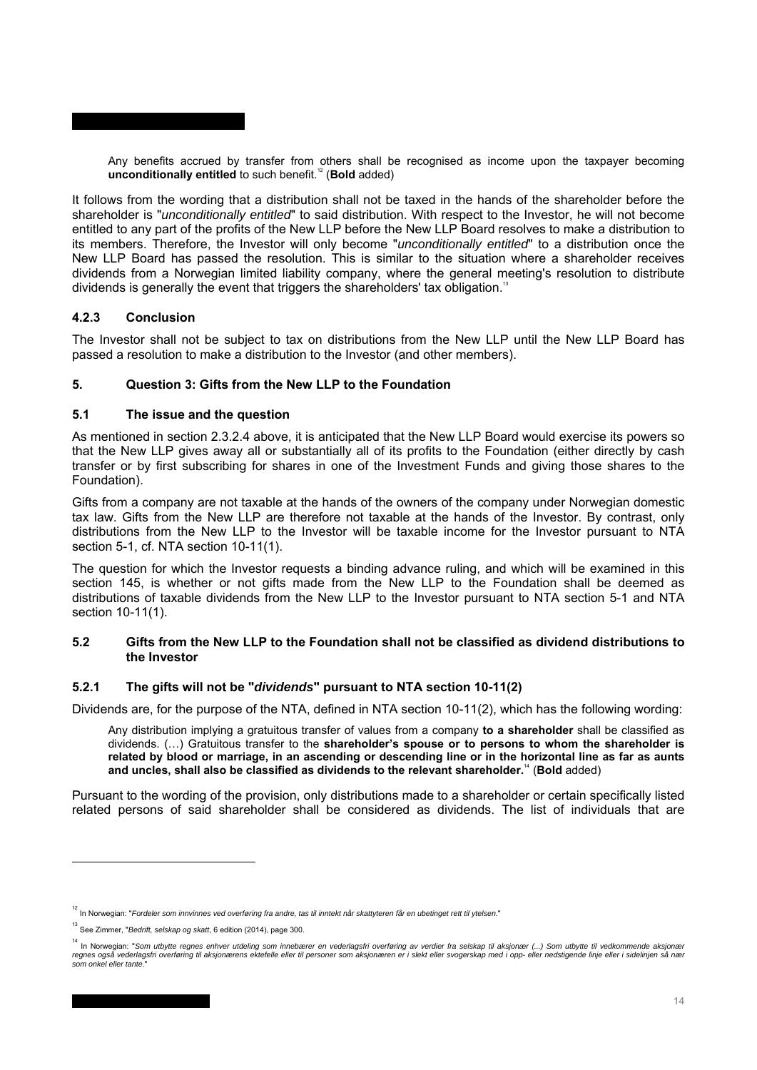Any benefits accrued by transfer from others shall be recognised as income upon the taxpayer becoming **unconditionally entitled** to such benefit.<sup>12</sup> (Bold added)

It follows from the wording that a distribution shall not be taxed in the hands of the shareholder before the shareholder is "*unconditionally entitled*" to said distribution. With respect to the Investor, he will not become entitled to any part of the profits of the New LLP before the New LLP Board resolves to make a distribution to its members. Therefore, the Investor will only become "*unconditionally entitled*" to a distribution once the New LLP Board has passed the resolution. This is similar to the situation where a shareholder receives dividends from a Norwegian limited liability company, where the general meeting's resolution to distribute dividends is generally the event that triggers the shareholders' tax obligation. $^{13}$ 

### **4.2.3 Conclusion**

The Investor shall not be subject to tax on distributions from the New LLP until the New LLP Board has passed a resolution to make a distribution to the Investor (and other members).

### **5. Question 3: Gifts from the New LLP to the Foundation**

### **5.1 The issue and the question**

As mentioned in section 2.3.2.4 above, it is anticipated that the New LLP Board would exercise its powers so that the New LLP gives away all or substantially all of its profits to the Foundation (either directly by cash transfer or by first subscribing for shares in one of the Investment Funds and giving those shares to the Foundation).

Gifts from a company are not taxable at the hands of the owners of the company under Norwegian domestic tax law. Gifts from the New LLP are therefore not taxable at the hands of the Investor. By contrast, only distributions from the New LLP to the Investor will be taxable income for the Investor pursuant to NTA section 5-1, cf. NTA section 10-11(1).

The question for which the Investor requests a binding advance ruling, and which will be examined in this section 145, is whether or not gifts made from the New LLP to the Foundation shall be deemed as distributions of taxable dividends from the New LLP to the Investor pursuant to NTA section 5-1 and NTA section 10-11(1).

### **5.2 Gifts from the New LLP to the Foundation shall not be classified as dividend distributions to the Investor**

### **5.2.1 The gifts will not be "***dividends***" pursuant to NTA section 10-11(2)**

Dividends are, for the purpose of the NTA, defined in NTA section 10-11(2), which has the following wording:

Any distribution implying a gratuitous transfer of values from a company **to a shareholder** shall be classified as dividends. (…) Gratuitous transfer to the **shareholder's spouse or to persons to whom the shareholder is related by blood or marriage, in an ascending or descending line or in the horizontal line as far as aunts and uncles, shall also be classified as dividends to the relevant shareholder.**<sup>14</sup> (**Bold** added)

Pursuant to the wording of the provision, only distributions made to a shareholder or certain specifically listed related persons of said shareholder shall be considered as dividends. The list of individuals that are

<sup>12</sup> In Norwegian: "*Fordeler som innvinnes ved overføring fra andre, tas til inntekt når skattyteren får en ubetinget rett til ytelsen.*"

<sup>13</sup> See Zimmer, "*Bedrift, selskap og skatt*, 6 edition (2014), page 300.

<sup>&</sup>lt;sup>14</sup> In Norwegian: "Som utbytte regnes enhver utdeling som innebærer en vederlagsfri overføring av verdier fra selskap til aksjonær (...) Som utbytte til vedkommende aksjonær regnes også vederlagsfri overføring til aksjonærens ektefelle eller til personer som aksjonæren er i slekt eller svogerskap med i opp- eller nedstigende linje eller i sidelinjen så nær<br>som onkel eller tante."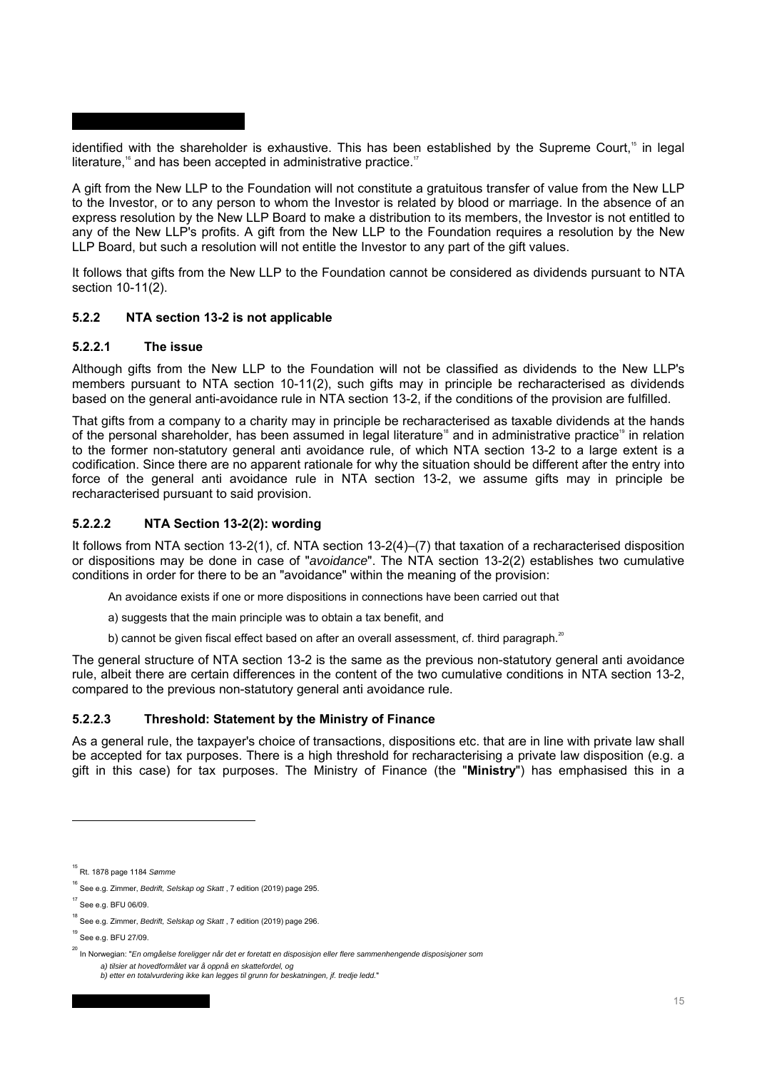identified with the shareholder is exhaustive. This has been established by the Supreme Court,<sup>15</sup> in legal literature,<sup>16</sup> and has been accepted in administrative practice.<sup>17</sup>

A gift from the New LLP to the Foundation will not constitute a gratuitous transfer of value from the New LLP to the Investor, or to any person to whom the Investor is related by blood or marriage. In the absence of an express resolution by the New LLP Board to make a distribution to its members, the Investor is not entitled to any of the New LLP's profits. A gift from the New LLP to the Foundation requires a resolution by the New LLP Board, but such a resolution will not entitle the Investor to any part of the gift values.

It follows that gifts from the New LLP to the Foundation cannot be considered as dividends pursuant to NTA section 10-11(2).

### **5.2.2 NTA section 13-2 is not applicable**

### **5.2.2.1 The issue**

Although gifts from the New LLP to the Foundation will not be classified as dividends to the New LLP's members pursuant to NTA section 10-11(2), such gifts may in principle be recharacterised as dividends based on the general anti-avoidance rule in NTA section 13-2, if the conditions of the provision are fulfilled.

That gifts from a company to a charity may in principle be recharacterised as taxable dividends at the hands of the personal shareholder, has been assumed in legal literature<sup>18</sup> and in administrative practice<sup>19</sup> in relation to the former non-statutory general anti avoidance rule, of which NTA section 13-2 to a large extent is a codification. Since there are no apparent rationale for why the situation should be different after the entry into force of the general anti avoidance rule in NTA section 13-2, we assume gifts may in principle be recharacterised pursuant to said provision.

# **5.2.2.2 NTA Section 13-2(2): wording**

It follows from NTA section 13-2(1), cf. NTA section 13-2(4)–(7) that taxation of a recharacterised disposition or dispositions may be done in case of "*avoidance*". The NTA section 13-2(2) establishes two cumulative conditions in order for there to be an "avoidance" within the meaning of the provision:

An avoidance exists if one or more dispositions in connections have been carried out that

- a) suggests that the main principle was to obtain a tax benefit, and
- b) cannot be given fiscal effect based on after an overall assessment, cf. third paragraph. $^{20}$

The general structure of NTA section 13-2 is the same as the previous non-statutory general anti avoidance rule, albeit there are certain differences in the content of the two cumulative conditions in NTA section 13-2, compared to the previous non-statutory general anti avoidance rule.

### **5.2.2.3 Threshold: Statement by the Ministry of Finance**

As a general rule, the taxpayer's choice of transactions, dispositions etc. that are in line with private law shall be accepted for tax purposes. There is a high threshold for recharacterising a private law disposition (e.g. a gift in this case) for tax purposes. The Ministry of Finance (the "**Ministry**") has emphasised this in a

<sup>15</sup> Rt. 1878 page 1184 *Sømme* 

<sup>&</sup>lt;sup>16</sup> See e.g. Zimmer, *Bedrift, Selskap og Skatt* , 7 edition (2019) page 295.

 $17$  See e.g. BFU 06/09.

<sup>&</sup>lt;sup>18</sup> See e.g. Zimmer, *Bedrift, Selskap og Skatt* , 7 edition (2019) page 296.

<sup>19</sup> See e.g. BFU 27/09.

<sup>20</sup> In Norwegian: "*En omgåelse foreligger når det er foretatt en disposisjon eller flere sammenhengende disposisjoner som a) tilsier at hovedformålet var å oppnå en skattefordel, og b) etter en totalvurdering ikke kan legges til grunn for beskatningen, jf. tredje ledd.*"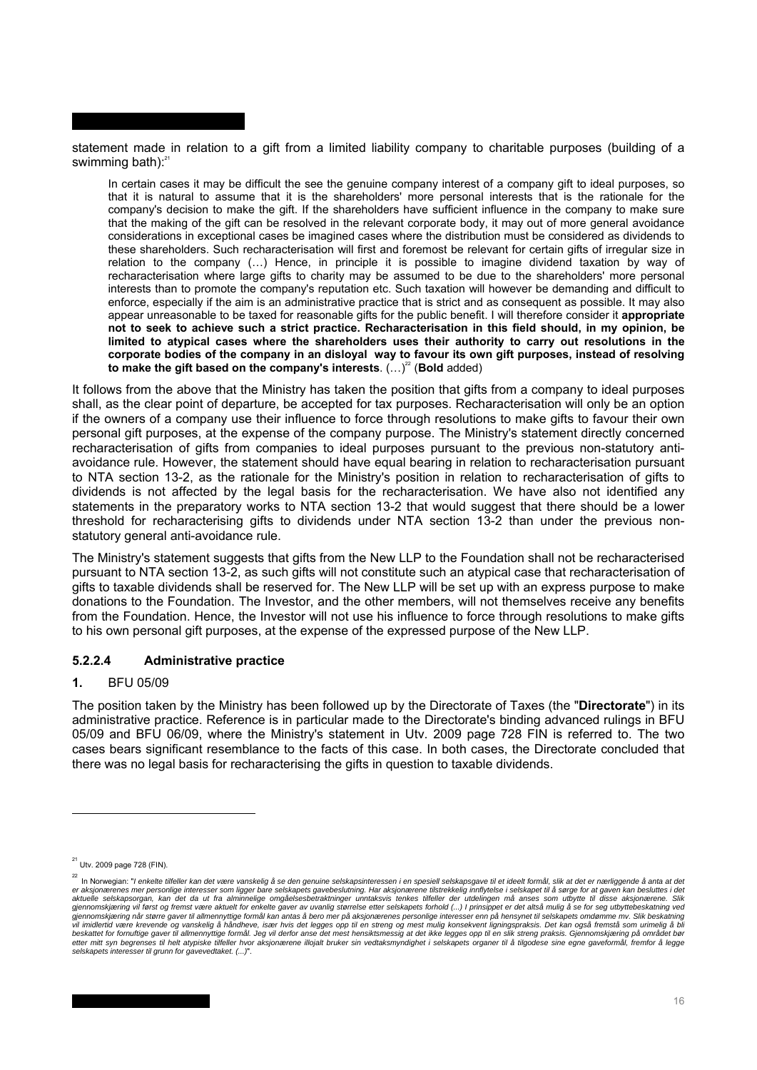statement made in relation to a gift from a limited liability company to charitable purposes (building of a swimming bath): $21$ 

In certain cases it may be difficult the see the genuine company interest of a company gift to ideal purposes, so that it is natural to assume that it is the shareholders' more personal interests that is the rationale for the company's decision to make the gift. If the shareholders have sufficient influence in the company to make sure that the making of the gift can be resolved in the relevant corporate body, it may out of more general avoidance considerations in exceptional cases be imagined cases where the distribution must be considered as dividends to these shareholders. Such recharacterisation will first and foremost be relevant for certain gifts of irregular size in relation to the company (…) Hence, in principle it is possible to imagine dividend taxation by way of recharacterisation where large gifts to charity may be assumed to be due to the shareholders' more personal interests than to promote the company's reputation etc. Such taxation will however be demanding and difficult to enforce, especially if the aim is an administrative practice that is strict and as consequent as possible. It may also appear unreasonable to be taxed for reasonable gifts for the public benefit. I will therefore consider it **appropriate not to seek to achieve such a strict practice. Recharacterisation in this field should, in my opinion, be limited to atypical cases where the shareholders uses their authority to carry out resolutions in the corporate bodies of the company in an disloyal way to favour its own gift purposes, instead of resolving**  to make the gift based on the company's interests. (...)<sup>22</sup> (Bold added)

It follows from the above that the Ministry has taken the position that gifts from a company to ideal purposes shall, as the clear point of departure, be accepted for tax purposes. Recharacterisation will only be an option if the owners of a company use their influence to force through resolutions to make gifts to favour their own personal gift purposes, at the expense of the company purpose. The Ministry's statement directly concerned recharacterisation of gifts from companies to ideal purposes pursuant to the previous non-statutory antiavoidance rule. However, the statement should have equal bearing in relation to recharacterisation pursuant to NTA section 13-2, as the rationale for the Ministry's position in relation to recharacterisation of gifts to dividends is not affected by the legal basis for the recharacterisation. We have also not identified any statements in the preparatory works to NTA section 13-2 that would suggest that there should be a lower threshold for recharacterising gifts to dividends under NTA section 13-2 than under the previous nonstatutory general anti-avoidance rule.

The Ministry's statement suggests that gifts from the New LLP to the Foundation shall not be recharacterised pursuant to NTA section 13-2, as such gifts will not constitute such an atypical case that recharacterisation of gifts to taxable dividends shall be reserved for. The New LLP will be set up with an express purpose to make donations to the Foundation. The Investor, and the other members, will not themselves receive any benefits from the Foundation. Hence, the Investor will not use his influence to force through resolutions to make gifts to his own personal gift purposes, at the expense of the expressed purpose of the New LLP.

## **5.2.2.4 Administrative practice**

## **1.** BFU 05/09

The position taken by the Ministry has been followed up by the Directorate of Taxes (the "**Directorate**") in its administrative practice. Reference is in particular made to the Directorate's binding advanced rulings in BFU 05/09 and BFU 06/09, where the Ministry's statement in Utv. 2009 page 728 FIN is referred to. The two cases bears significant resemblance to the facts of this case. In both cases, the Directorate concluded that there was no legal basis for recharacterising the gifts in question to taxable dividends.

 $^{21}$  Utv. 2009 page 728 (FIN).

<sup>22</sup> In Norwegian: "*I enkelte tilfeller kan det være vanskelig å se den genuine selskapsinteressen i en spesiell selskapsgave til et ideelt formål, slik at det er nærliggende å anta at det*  er aksjonærenes mer personlige interesser som ligger bare selskapets gavebeslutning. Har aksjonærene tilstrekkelig innflytelse i selskapet til å sørge for at gaven kan besluttes i det<br>gjennomskjæring vil først og fremst væ vil imidlertid være krevende og vanskelig å håndheve, især hvis det legges opp til en streng og mest mulig konsekvent ligningspraksis. Det kan også fremstå som urimelig å bli<br>beskattet for fornuttige gaver til allmennyttig *selskapets interesser til grunn for gavevedtaket. (...)*".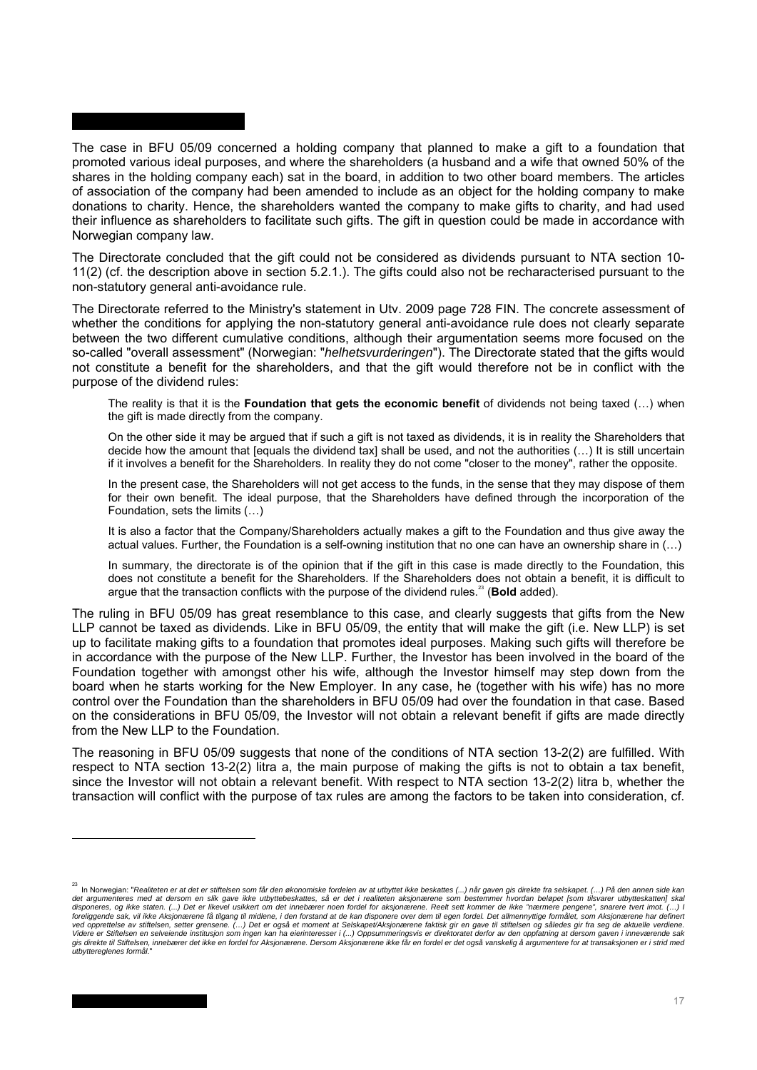The case in BFU 05/09 concerned a holding company that planned to make a gift to a foundation that promoted various ideal purposes, and where the shareholders (a husband and a wife that owned 50% of the shares in the holding company each) sat in the board, in addition to two other board members. The articles of association of the company had been amended to include as an object for the holding company to make donations to charity. Hence, the shareholders wanted the company to make gifts to charity, and had used their influence as shareholders to facilitate such gifts. The gift in question could be made in accordance with Norwegian company law.

The Directorate concluded that the gift could not be considered as dividends pursuant to NTA section 10- 11(2) (cf. the description above in section 5.2.1.). The gifts could also not be recharacterised pursuant to the non-statutory general anti-avoidance rule.

The Directorate referred to the Ministry's statement in Utv. 2009 page 728 FIN. The concrete assessment of whether the conditions for applying the non-statutory general anti-avoidance rule does not clearly separate between the two different cumulative conditions, although their argumentation seems more focused on the so-called "overall assessment" (Norwegian: "*helhetsvurderingen*"). The Directorate stated that the gifts would not constitute a benefit for the shareholders, and that the gift would therefore not be in conflict with the purpose of the dividend rules:

The reality is that it is the **Foundation that gets the economic benefit** of dividends not being taxed (…) when the gift is made directly from the company.

On the other side it may be argued that if such a gift is not taxed as dividends, it is in reality the Shareholders that decide how the amount that [equals the dividend tax] shall be used, and not the authorities (...) It is still uncertain if it involves a benefit for the Shareholders. In reality they do not come "closer to the money", rather the opposite.

In the present case, the Shareholders will not get access to the funds, in the sense that they may dispose of them for their own benefit. The ideal purpose, that the Shareholders have defined through the incorporation of the Foundation, sets the limits (…)

It is also a factor that the Company/Shareholders actually makes a gift to the Foundation and thus give away the actual values. Further, the Foundation is a self-owning institution that no one can have an ownership share in (…)

In summary, the directorate is of the opinion that if the gift in this case is made directly to the Foundation, this does not constitute a benefit for the Shareholders. If the Shareholders does not obtain a benefit, it is difficult to argue that the transaction conflicts with the purpose of the dividend rules.<sup>23</sup> (Bold added).

The ruling in BFU 05/09 has great resemblance to this case, and clearly suggests that gifts from the New LLP cannot be taxed as dividends. Like in BFU 05/09, the entity that will make the gift (i.e. New LLP) is set up to facilitate making gifts to a foundation that promotes ideal purposes. Making such gifts will therefore be in accordance with the purpose of the New LLP. Further, the Investor has been involved in the board of the Foundation together with amongst other his wife, although the Investor himself may step down from the board when he starts working for the New Employer. In any case, he (together with his wife) has no more control over the Foundation than the shareholders in BFU 05/09 had over the foundation in that case. Based on the considerations in BFU 05/09, the Investor will not obtain a relevant benefit if gifts are made directly from the New LLP to the Foundation.

The reasoning in BFU 05/09 suggests that none of the conditions of NTA section 13-2(2) are fulfilled. With respect to NTA section 13-2(2) litra a, the main purpose of making the gifts is not to obtain a tax benefit, since the Investor will not obtain a relevant benefit. With respect to NTA section 13-2(2) litra b, whether the transaction will conflict with the purpose of tax rules are among the factors to be taken into consideration, cf.

<sup>&</sup>lt;sup>23</sup> In Norwegian: "Realiteten er at det er stiftelsen som får den økonomiske fordelen av at utbyttet ikke beskattes (...) når gaven gis direkte fra selskapet. (...) På den annen side kan<br>det argumenteres med at dersom en *foreliggende sak, vil ikke Aksjonærene få tilgang til midlene, i den forstand at de kan disponere over dem til egen fordel. Det allmennyttige formålet, som Aksjonærene har definert*  ved opprettelse av stiftelsen, setter grensene. (…) Det er også et moment at Selskapet/Aksjonærene faktisk gir en gave til stiftelsen og således gir fra seg de aktuelle verdiene.<br>Videre er Stiftelsen en selveiende institu *utbyttereglenes formål*."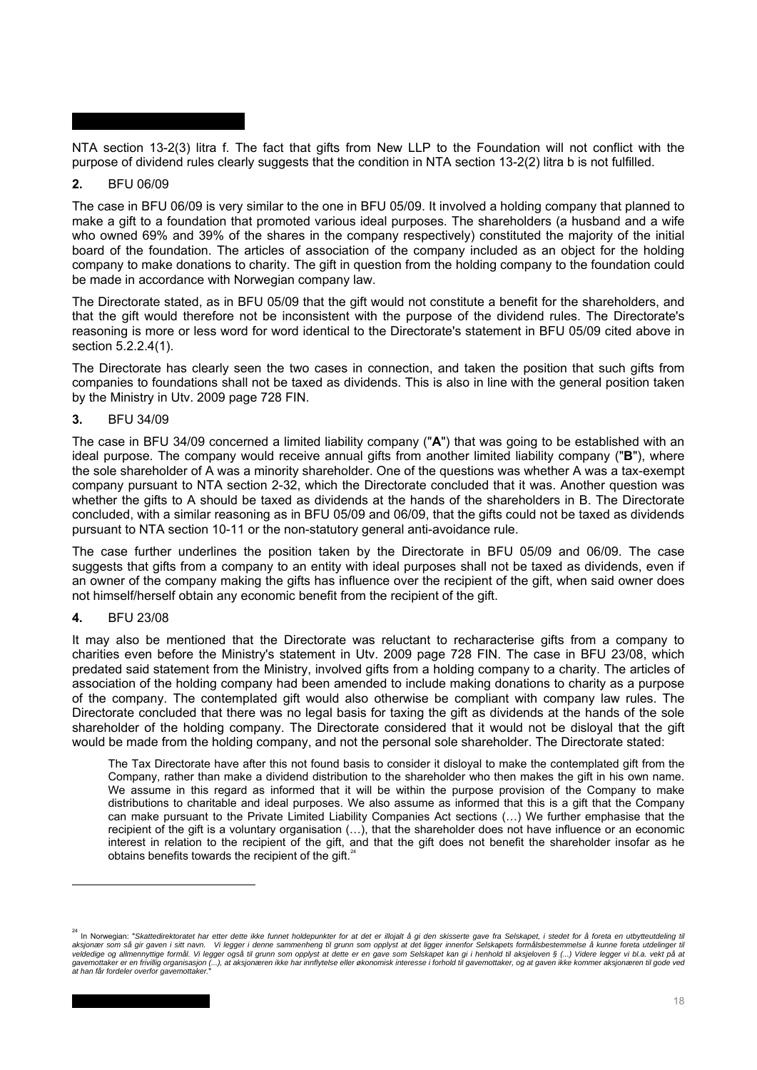NTA section 13-2(3) litra f. The fact that gifts from New LLP to the Foundation will not conflict with the purpose of dividend rules clearly suggests that the condition in NTA section 13-2(2) litra b is not fulfilled.

### **2.** BFU 06/09

The case in BFU 06/09 is very similar to the one in BFU 05/09. It involved a holding company that planned to make a gift to a foundation that promoted various ideal purposes. The shareholders (a husband and a wife who owned 69% and 39% of the shares in the company respectively) constituted the majority of the initial board of the foundation. The articles of association of the company included as an object for the holding company to make donations to charity. The gift in question from the holding company to the foundation could be made in accordance with Norwegian company law.

The Directorate stated, as in BFU 05/09 that the gift would not constitute a benefit for the shareholders, and that the gift would therefore not be inconsistent with the purpose of the dividend rules. The Directorate's reasoning is more or less word for word identical to the Directorate's statement in BFU 05/09 cited above in section 5.2.2.4(1).

The Directorate has clearly seen the two cases in connection, and taken the position that such gifts from companies to foundations shall not be taxed as dividends. This is also in line with the general position taken by the Ministry in Utv. 2009 page 728 FIN.

### **3.** BFU 34/09

The case in BFU 34/09 concerned a limited liability company ("**A**") that was going to be established with an ideal purpose. The company would receive annual gifts from another limited liability company ("**B**"), where the sole shareholder of A was a minority shareholder. One of the questions was whether A was a tax-exempt company pursuant to NTA section 2-32, which the Directorate concluded that it was. Another question was whether the gifts to A should be taxed as dividends at the hands of the shareholders in B. The Directorate concluded, with a similar reasoning as in BFU 05/09 and 06/09, that the gifts could not be taxed as dividends pursuant to NTA section 10-11 or the non-statutory general anti-avoidance rule.

The case further underlines the position taken by the Directorate in BFU 05/09 and 06/09. The case suggests that gifts from a company to an entity with ideal purposes shall not be taxed as dividends, even if an owner of the company making the gifts has influence over the recipient of the gift, when said owner does not himself/herself obtain any economic benefit from the recipient of the gift.

## **4.** BFU 23/08

l

It may also be mentioned that the Directorate was reluctant to recharacterise gifts from a company to charities even before the Ministry's statement in Utv. 2009 page 728 FIN. The case in BFU 23/08, which predated said statement from the Ministry, involved gifts from a holding company to a charity. The articles of association of the holding company had been amended to include making donations to charity as a purpose of the company. The contemplated gift would also otherwise be compliant with company law rules. The Directorate concluded that there was no legal basis for taxing the gift as dividends at the hands of the sole shareholder of the holding company. The Directorate considered that it would not be disloyal that the gift would be made from the holding company, and not the personal sole shareholder. The Directorate stated:

The Tax Directorate have after this not found basis to consider it disloyal to make the contemplated gift from the Company, rather than make a dividend distribution to the shareholder who then makes the gift in his own name. We assume in this regard as informed that it will be within the purpose provision of the Company to make distributions to charitable and ideal purposes. We also assume as informed that this is a gift that the Company can make pursuant to the Private Limited Liability Companies Act sections (…) We further emphasise that the recipient of the gift is a voluntary organisation (…), that the shareholder does not have influence or an economic interest in relation to the recipient of the gift, and that the gift does not benefit the shareholder insofar as he obtains benefits towards the recipient of the gift.<sup>2</sup>

<sup>&</sup>lt;sup>24</sup> In Norwegian: "Skattedirektoratet har etter dette ikke funnet holdepunkter for at det er illojalt å gi den skisserte gave fra Selskapet, i stedet for å foreta en utbytteutdeling til<br>aksjonær som så gir gaven i sitt na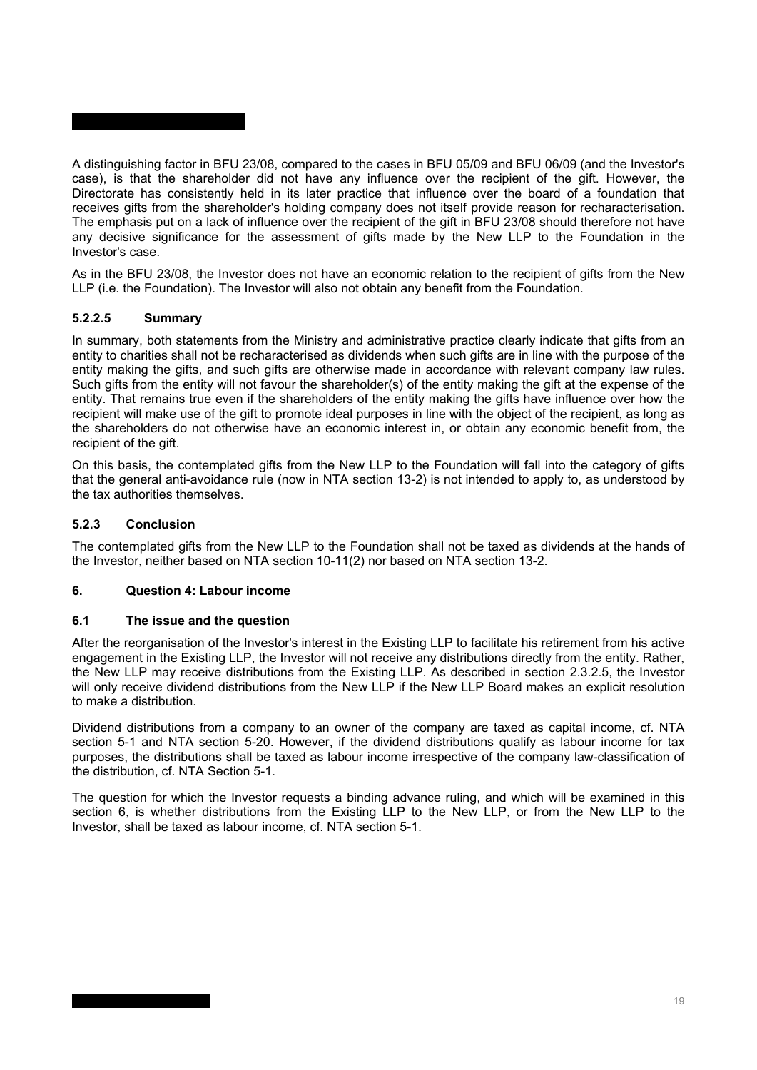A distinguishing factor in BFU 23/08, compared to the cases in BFU 05/09 and BFU 06/09 (and the Investor's case), is that the shareholder did not have any influence over the recipient of the gift. However, the Directorate has consistently held in its later practice that influence over the board of a foundation that receives gifts from the shareholder's holding company does not itself provide reason for recharacterisation. The emphasis put on a lack of influence over the recipient of the gift in BFU 23/08 should therefore not have any decisive significance for the assessment of gifts made by the New LLP to the Foundation in the Investor's case.

As in the BFU 23/08, the Investor does not have an economic relation to the recipient of gifts from the New LLP (i.e. the Foundation). The Investor will also not obtain any benefit from the Foundation.

## **5.2.2.5 Summary**

In summary, both statements from the Ministry and administrative practice clearly indicate that gifts from an entity to charities shall not be recharacterised as dividends when such gifts are in line with the purpose of the entity making the gifts, and such gifts are otherwise made in accordance with relevant company law rules. Such gifts from the entity will not favour the shareholder(s) of the entity making the gift at the expense of the entity. That remains true even if the shareholders of the entity making the gifts have influence over how the recipient will make use of the gift to promote ideal purposes in line with the object of the recipient, as long as the shareholders do not otherwise have an economic interest in, or obtain any economic benefit from, the recipient of the gift.

On this basis, the contemplated gifts from the New LLP to the Foundation will fall into the category of gifts that the general anti-avoidance rule (now in NTA section 13-2) is not intended to apply to, as understood by the tax authorities themselves.

### **5.2.3 Conclusion**

The contemplated gifts from the New LLP to the Foundation shall not be taxed as dividends at the hands of the Investor, neither based on NTA section 10-11(2) nor based on NTA section 13-2.

### **6. Question 4: Labour income**

### **6.1 The issue and the question**

After the reorganisation of the Investor's interest in the Existing LLP to facilitate his retirement from his active engagement in the Existing LLP, the Investor will not receive any distributions directly from the entity. Rather, the New LLP may receive distributions from the Existing LLP. As described in section 2.3.2.5, the Investor will only receive dividend distributions from the New LLP if the New LLP Board makes an explicit resolution to make a distribution.

Dividend distributions from a company to an owner of the company are taxed as capital income, cf. NTA section 5-1 and NTA section 5-20. However, if the dividend distributions qualify as labour income for tax purposes, the distributions shall be taxed as labour income irrespective of the company law-classification of the distribution, cf. NTA Section 5-1.

The question for which the Investor requests a binding advance ruling, and which will be examined in this section 6, is whether distributions from the Existing LLP to the New LLP, or from the New LLP to the Investor, shall be taxed as labour income, cf. NTA section 5-1.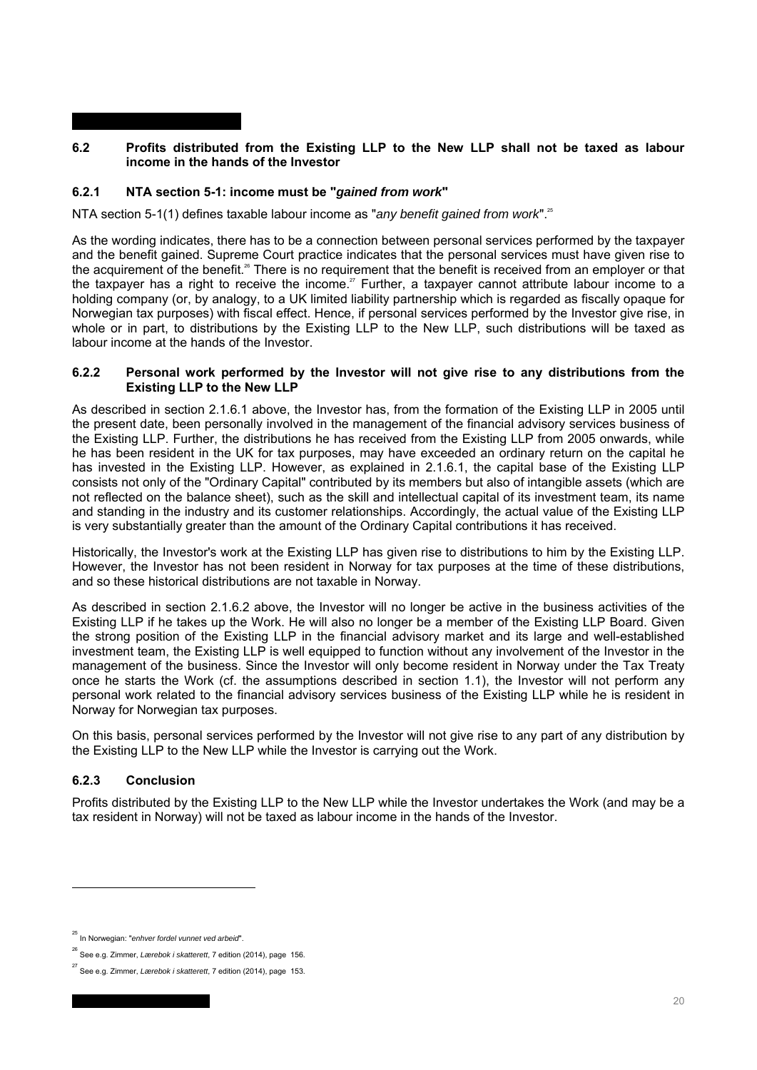## **6.2 Profits distributed from the Existing LLP to the New LLP shall not be taxed as labour income in the hands of the Investor**

# **6.2.1 NTA section 5-1: income must be "***gained from work***"**

NTA section 5-1(1) defines taxable labour income as "*any benefit gained from work*".<sup>25</sup>

As the wording indicates, there has to be a connection between personal services performed by the taxpayer and the benefit gained. Supreme Court practice indicates that the personal services must have given rise to the acquirement of the benefit.<sup>26</sup> There is no requirement that the benefit is received from an employer or that the taxpayer has a right to receive the income.<sup>27</sup> Further, a taxpayer cannot attribute labour income to a holding company (or, by analogy, to a UK limited liability partnership which is regarded as fiscally opaque for Norwegian tax purposes) with fiscal effect. Hence, if personal services performed by the Investor give rise, in whole or in part, to distributions by the Existing LLP to the New LLP, such distributions will be taxed as labour income at the hands of the Investor.

### **6.2.2 Personal work performed by the Investor will not give rise to any distributions from the Existing LLP to the New LLP**

As described in section 2.1.6.1 above, the Investor has, from the formation of the Existing LLP in 2005 until the present date, been personally involved in the management of the financial advisory services business of the Existing LLP. Further, the distributions he has received from the Existing LLP from 2005 onwards, while he has been resident in the UK for tax purposes, may have exceeded an ordinary return on the capital he has invested in the Existing LLP. However, as explained in 2.1.6.1, the capital base of the Existing LLP consists not only of the "Ordinary Capital" contributed by its members but also of intangible assets (which are not reflected on the balance sheet), such as the skill and intellectual capital of its investment team, its name and standing in the industry and its customer relationships. Accordingly, the actual value of the Existing LLP is very substantially greater than the amount of the Ordinary Capital contributions it has received.

Historically, the Investor's work at the Existing LLP has given rise to distributions to him by the Existing LLP. However, the Investor has not been resident in Norway for tax purposes at the time of these distributions, and so these historical distributions are not taxable in Norway.

As described in section 2.1.6.2 above, the Investor will no longer be active in the business activities of the Existing LLP if he takes up the Work. He will also no longer be a member of the Existing LLP Board. Given the strong position of the Existing LLP in the financial advisory market and its large and well-established investment team, the Existing LLP is well equipped to function without any involvement of the Investor in the management of the business. Since the Investor will only become resident in Norway under the Tax Treaty once he starts the Work (cf. the assumptions described in section 1.1), the Investor will not perform any personal work related to the financial advisory services business of the Existing LLP while he is resident in Norway for Norwegian tax purposes.

On this basis, personal services performed by the Investor will not give rise to any part of any distribution by the Existing LLP to the New LLP while the Investor is carrying out the Work.

## **6.2.3 Conclusion**

l

Profits distributed by the Existing LLP to the New LLP while the Investor undertakes the Work (and may be a tax resident in Norway) will not be taxed as labour income in the hands of the Investor.

<sup>25</sup> In Norwegian: "*enhver fordel vunnet ved arbeid*".

<sup>26</sup> See e.g. Zimmer, *Lærebok i skatterett*, 7 edition (2014), page 156.

<sup>27</sup> See e.g. Zimmer, *Lærebok i skatterett*, 7 edition (2014), page 153.